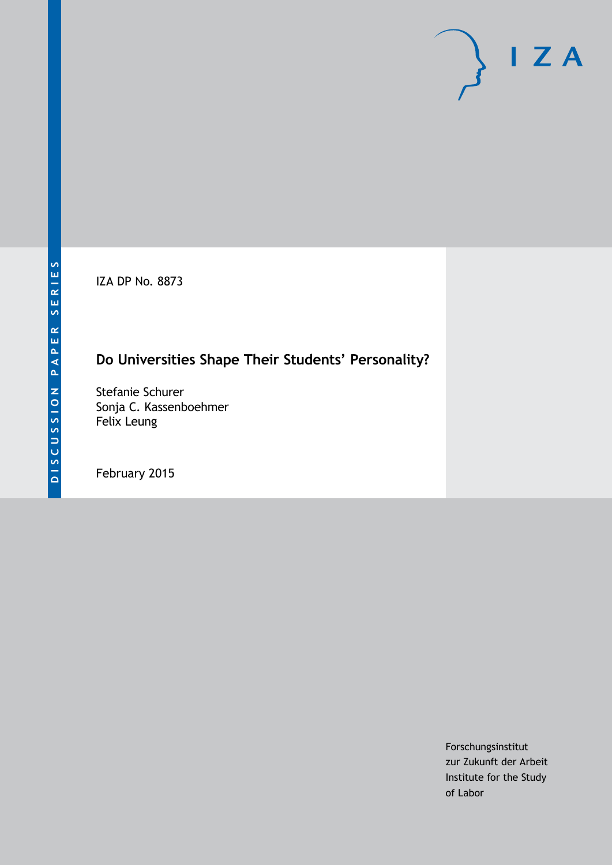IZA DP No. 8873

# **Do Universities Shape Their Students' Personality?**

Stefanie Schurer Sonja C. Kassenboehmer Felix Leung

February 2015

Forschungsinstitut zur Zukunft der Arbeit Institute for the Study of Labor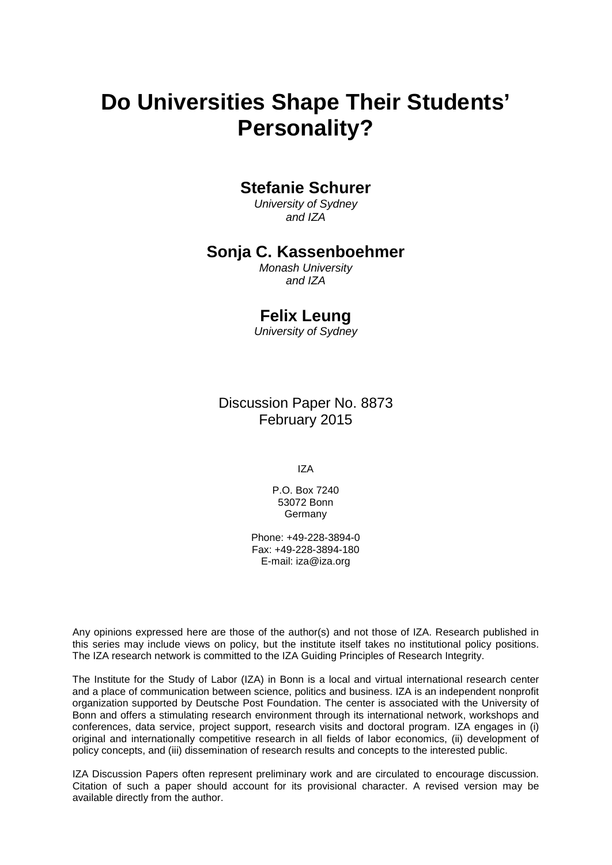# **Do Universities Shape Their Students' Personality?**

### **Stefanie Schurer**

*University of Sydney and IZA*

### **Sonja C. Kassenboehmer**

*Monash University and IZA*

### **Felix Leung**

*University of Sydney*

Discussion Paper No. 8873 February 2015

IZA

P.O. Box 7240 53072 Bonn Germany

Phone: +49-228-3894-0 Fax: +49-228-3894-180 E-mail: [iza@iza.org](mailto:iza@iza.org)

Any opinions expressed here are those of the author(s) and not those of IZA. Research published in this series may include views on policy, but the institute itself takes no institutional policy positions. The IZA research network is committed to the IZA Guiding Principles of Research Integrity.

<span id="page-1-0"></span>The Institute for the Study of Labor (IZA) in Bonn is a local and virtual international research center and a place of communication between science, politics and business. IZA is an independent nonprofit organization supported by Deutsche Post Foundation. The center is associated with the University of Bonn and offers a stimulating research environment through its international network, workshops and conferences, data service, project support, research visits and doctoral program. IZA engages in (i) original and internationally competitive research in all fields of labor economics, (ii) development of policy concepts, and (iii) dissemination of research results and concepts to the interested public.

IZA Discussion Papers often represent preliminary work and are circulated to encourage discussion. Citation of such a paper should account for its provisional character. A revised version may be available directly from the author.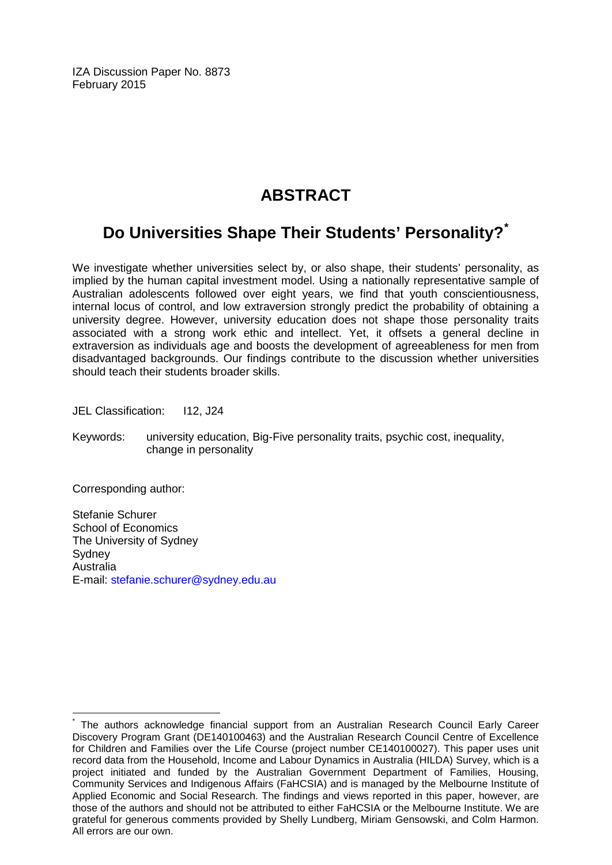IZA Discussion Paper No. 8873 February 2015

## **ABSTRACT**

# **Do Universities Shape Their Students' Personality?[\\*](#page-1-0)**

We investigate whether universities select by, or also shape, their students' personality, as implied by the human capital investment model. Using a nationally representative sample of Australian adolescents followed over eight years, we find that youth conscientiousness, internal locus of control, and low extraversion strongly predict the probability of obtaining a university degree. However, university education does not shape those personality traits associated with a strong work ethic and intellect. Yet, it offsets a general decline in extraversion as individuals age and boosts the development of agreeableness for men from disadvantaged backgrounds. Our findings contribute to the discussion whether universities should teach their students broader skills.

JEL Classification: 112, J24

Keywords: university education, Big-Five personality traits, psychic cost, inequality, change in personality

Corresponding author:

Stefanie Schurer School of Economics The University of Sydney **Sydney** Australia E-mail: [stefanie.schurer@sydney.edu.au](mailto:stefanie.schurer@sydney.edu.au)

The authors acknowledge financial support from an Australian Research Council Early Career Discovery Program Grant (DE140100463) and the Australian Research Council Centre of Excellence for Children and Families over the Life Course (project number CE140100027). This paper uses unit record data from the Household, Income and Labour Dynamics in Australia (HILDA) Survey, which is a project initiated and funded by the Australian Government Department of Families, Housing, Community Services and Indigenous Affairs (FaHCSIA) and is managed by the Melbourne Institute of Applied Economic and Social Research. The findings and views reported in this paper, however, are those of the authors and should not be attributed to either FaHCSIA or the Melbourne Institute. We are grateful for generous comments provided by Shelly Lundberg, Miriam Gensowski, and Colm Harmon. All errors are our own.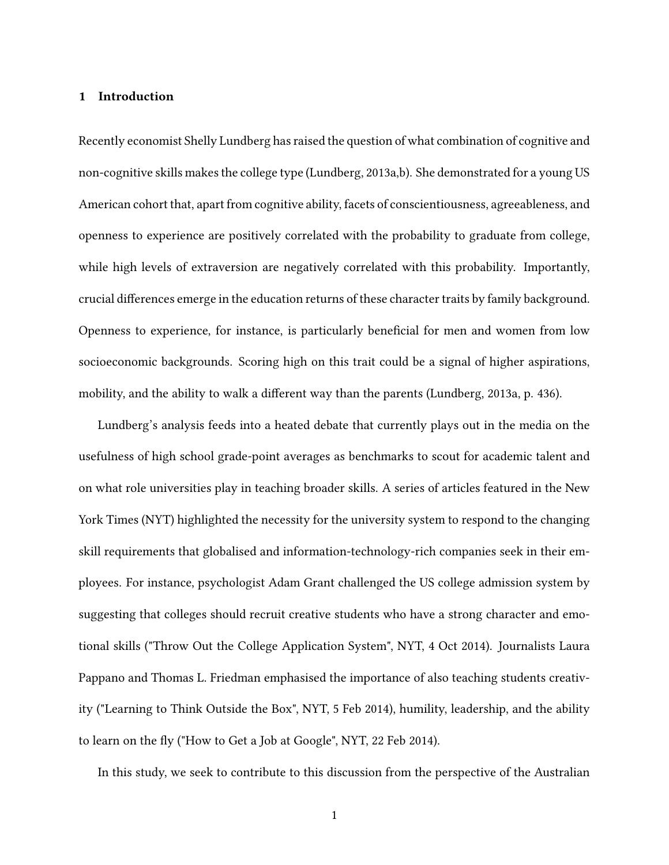#### **1 Introduction**

Recently economist Shelly Lundberg has raised the question of what combination of cognitive and non-cognitive skills makes the college type (Lundberg, 2013a,b). She demonstrated for a young US American cohort that, apart from cognitive ability, facets of conscientiousness, agreeableness, and openness to experience are positively correlated with the probability to graduate from college, while high levels of extraversion are negatively correlated with this probability. Importantly, crucial differences emerge in the education returns of these character traits by family background. Openness to experience, for instance, is particularly beneficial for men and women from low socioeconomic backgrounds. Scoring high on this trait could be a signal of higher aspirations, mobility, and the ability to walk a different way than the parents (Lundberg, 2013a, p. 436).

Lundberg's analysis feeds into a heated debate that currently plays out in the media on the usefulness of high school grade-point averages as benchmarks to scout for academic talent and on what role universities play in teaching broader skills. A series of articles featured in the New York Times (NYT) highlighted the necessity for the university system to respond to the changing skill requirements that globalised and information-technology-rich companies seek in their employees. For instance, psychologist Adam Grant challenged the US college admission system by suggesting that colleges should recruit creative students who have a strong character and emotional skills ("Throw Out the College Application System", NYT, 4 Oct 2014). Journalists Laura Pappano and Thomas L. Friedman emphasised the importance of also teaching students creativity ("Learning to Think Outside the Box", NYT, 5 Feb 2014), humility, leadership, and the ability to learn on the fly ("How to Get a Job at Google", NYT, 22 Feb 2014).

In this study, we seek to contribute to this discussion from the perspective of the Australian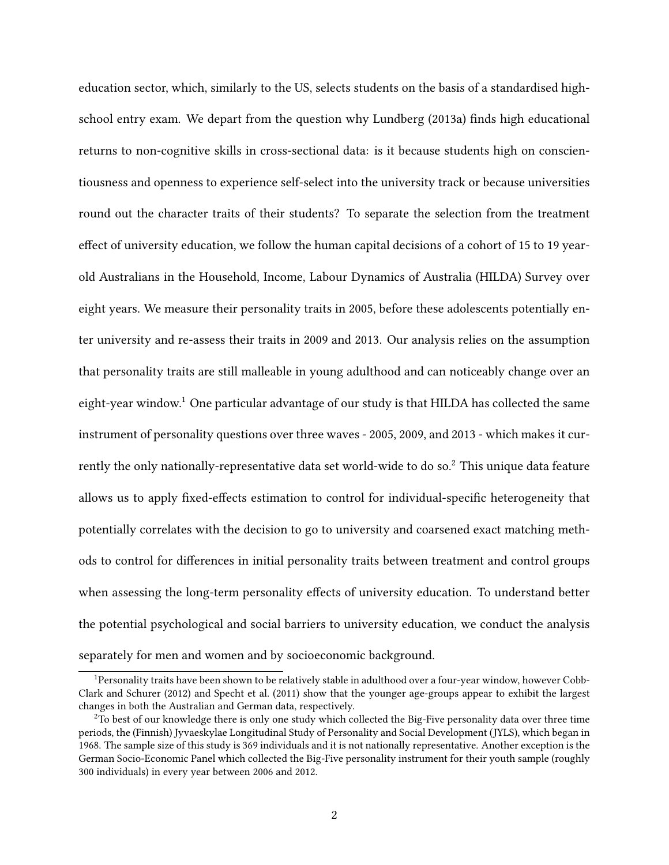education sector, which, similarly to the US, selects students on the basis of a standardised highschool entry exam. We depart from the question why Lundberg (2013a) finds high educational returns to non-cognitive skills in cross-sectional data: is it because students high on conscientiousness and openness to experience self-select into the university track or because universities round out the character traits of their students? To separate the selection from the treatment effect of university education, we follow the human capital decisions of a cohort of 15 to 19 yearold Australians in the Household, Income, Labour Dynamics of Australia (HILDA) Survey over eight years. We measure their personality traits in 2005, before these adolescents potentially enter university and re-assess their traits in 2009 and 2013. Our analysis relies on the assumption that personality traits are still malleable in young adulthood and can noticeably change over an eight-year window.<sup>1</sup> One particular advantage of our study is that HILDA has collected the same instrument of personality questions over three waves - 2005, 2009, and 2013 - which makes it currently the only nationally-representative data set world-wide to do so.<sup>2</sup> This unique data feature allows us to apply fixed-effects estimation to control for individual-specific heterogeneity that potentially correlates with the decision to go to university and coarsened exact matching methods to control for differences in initial personality traits between treatment and control groups when assessing the long-term personality effects of university education. To understand better the potential psychological and social barriers to university education, we conduct the analysis separately for men and women and by socioeconomic background.

<sup>1</sup>Personality traits have been shown to be relatively stable in adulthood over a four-year window, however Cobb-Clark and Schurer (2012) and Specht et al. (2011) show that the younger age-groups appear to exhibit the largest changes in both the Australian and German data, respectively.

 $2$ To best of our knowledge there is only one study which collected the Big-Five personality data over three time periods, the (Finnish) Jyvaeskylae Longitudinal Study of Personality and Social Development (JYLS), which began in 1968. The sample size of this study is 369 individuals and it is not nationally representative. Another exception is the German Socio-Economic Panel which collected the Big-Five personality instrument for their youth sample (roughly 300 individuals) in every year between 2006 and 2012.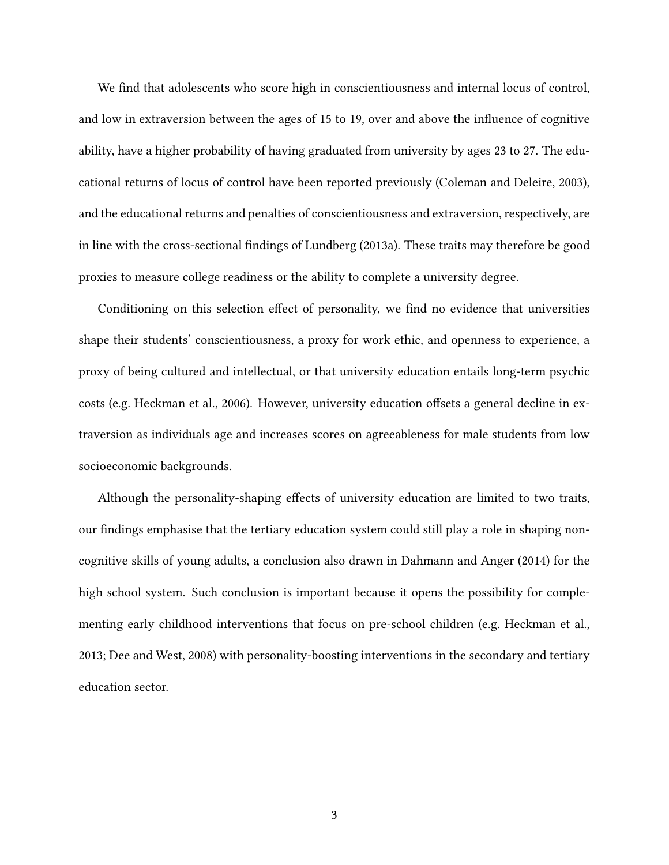We find that adolescents who score high in conscientiousness and internal locus of control, and low in extraversion between the ages of 15 to 19, over and above the influence of cognitive ability, have a higher probability of having graduated from university by ages 23 to 27. The educational returns of locus of control have been reported previously (Coleman and Deleire, 2003), and the educational returns and penalties of conscientiousness and extraversion, respectively, are in line with the cross-sectional findings of Lundberg (2013a). These traits may therefore be good proxies to measure college readiness or the ability to complete a university degree.

Conditioning on this selection effect of personality, we find no evidence that universities shape their students' conscientiousness, a proxy for work ethic, and openness to experience, a proxy of being cultured and intellectual, or that university education entails long-term psychic costs (e.g. Heckman et al., 2006). However, university education offsets a general decline in extraversion as individuals age and increases scores on agreeableness for male students from low socioeconomic backgrounds.

Although the personality-shaping effects of university education are limited to two traits, our findings emphasise that the tertiary education system could still play a role in shaping noncognitive skills of young adults, a conclusion also drawn in Dahmann and Anger (2014) for the high school system. Such conclusion is important because it opens the possibility for complementing early childhood interventions that focus on pre-school children (e.g. Heckman et al., 2013; Dee and West, 2008) with personality-boosting interventions in the secondary and tertiary education sector.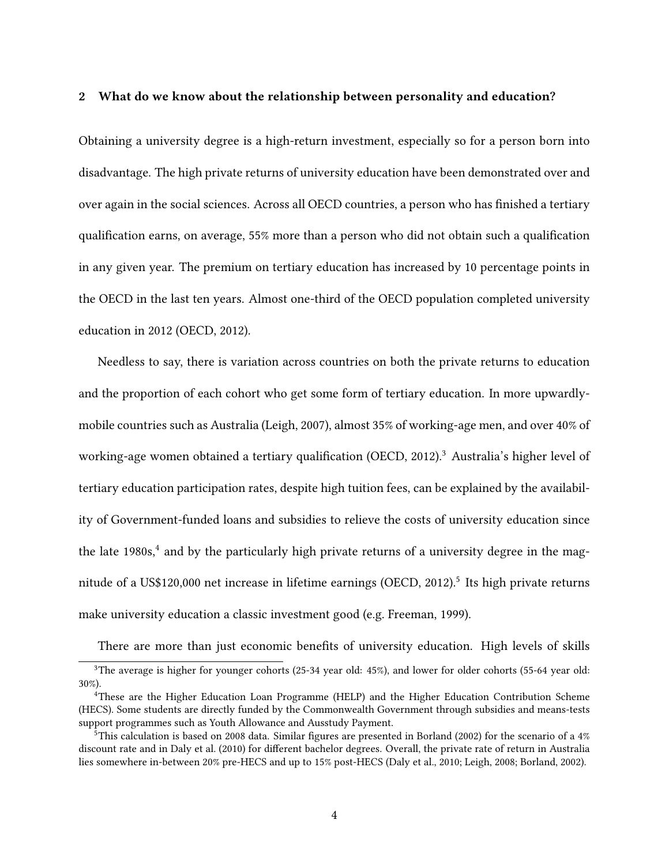#### **2 What do we know about the relationship between personality and education?**

Obtaining a university degree is a high-return investment, especially so for a person born into disadvantage. The high private returns of university education have been demonstrated over and over again in the social sciences. Across all OECD countries, a person who has finished a tertiary qualification earns, on average, 55% more than a person who did not obtain such a qualification in any given year. The premium on tertiary education has increased by 10 percentage points in the OECD in the last ten years. Almost one-third of the OECD population completed university education in 2012 (OECD, 2012).

Needless to say, there is variation across countries on both the private returns to education and the proportion of each cohort who get some form of tertiary education. In more upwardlymobile countries such as Australia (Leigh, 2007), almost 35% of working-age men, and over 40% of working-age women obtained a tertiary qualification (OECD, 2012).<sup>3</sup> Australia's higher level of tertiary education participation rates, despite high tuition fees, can be explained by the availability of Government-funded loans and subsidies to relieve the costs of university education since the late 1980s,<sup>4</sup> and by the particularly high private returns of a university degree in the magnitude of a US\$120,000 net increase in lifetime earnings (OECD, 2012).<sup>5</sup> Its high private returns make university education a classic investment good (e.g. Freeman, 1999).

There are more than just economic benefits of university education. High levels of skills

<sup>3</sup>The average is higher for younger cohorts (25-34 year old: 45%), and lower for older cohorts (55-64 year old: 30%).

<sup>4</sup>These are the Higher Education Loan Programme (HELP) and the Higher Education Contribution Scheme (HECS). Some students are directly funded by the Commonwealth Government through subsidies and means-tests support programmes such as Youth Allowance and Ausstudy Payment.

 $5$ This calculation is based on 2008 data. Similar figures are presented in Borland (2002) for the scenario of a 4% discount rate and in Daly et al. (2010) for different bachelor degrees. Overall, the private rate of return in Australia lies somewhere in-between 20% pre-HECS and up to 15% post-HECS (Daly et al., 2010; Leigh, 2008; Borland, 2002).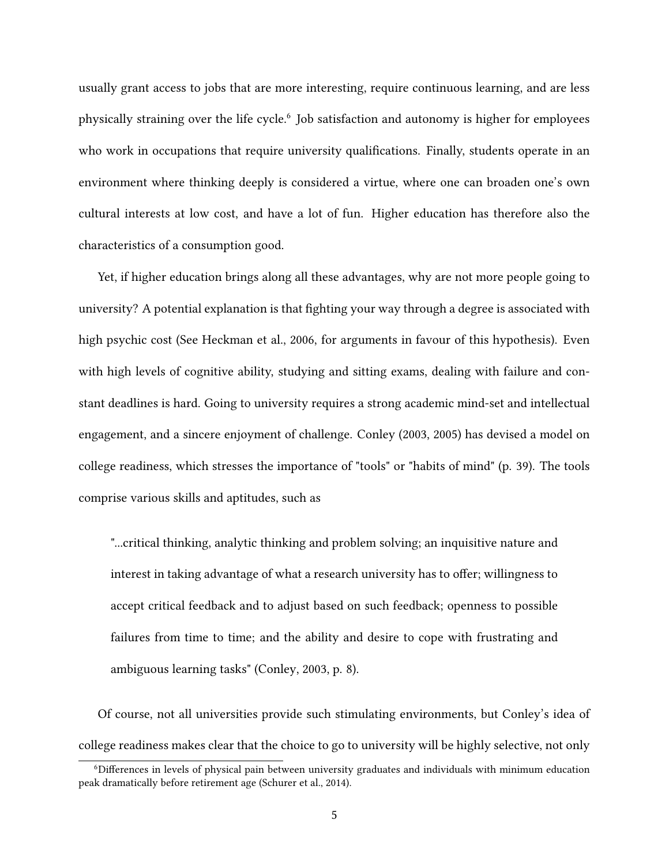usually grant access to jobs that are more interesting, require continuous learning, and are less physically straining over the life cycle.<sup>6</sup> Job satisfaction and autonomy is higher for employees who work in occupations that require university qualifications. Finally, students operate in an environment where thinking deeply is considered a virtue, where one can broaden one's own cultural interests at low cost, and have a lot of fun. Higher education has therefore also the characteristics of a consumption good.

Yet, if higher education brings along all these advantages, why are not more people going to university? A potential explanation is that fighting your way through a degree is associated with high psychic cost (See Heckman et al., 2006, for arguments in favour of this hypothesis). Even with high levels of cognitive ability, studying and sitting exams, dealing with failure and constant deadlines is hard. Going to university requires a strong academic mind-set and intellectual engagement, and a sincere enjoyment of challenge. Conley (2003, 2005) has devised a model on college readiness, which stresses the importance of "tools" or "habits of mind" (p. 39). The tools comprise various skills and aptitudes, such as

"...critical thinking, analytic thinking and problem solving; an inquisitive nature and interest in taking advantage of what a research university has to offer; willingness to accept critical feedback and to adjust based on such feedback; openness to possible failures from time to time; and the ability and desire to cope with frustrating and ambiguous learning tasks" (Conley, 2003, p. 8).

Of course, not all universities provide such stimulating environments, but Conley's idea of college readiness makes clear that the choice to go to university will be highly selective, not only

<sup>6</sup>Differences in levels of physical pain between university graduates and individuals with minimum education peak dramatically before retirement age (Schurer et al., 2014).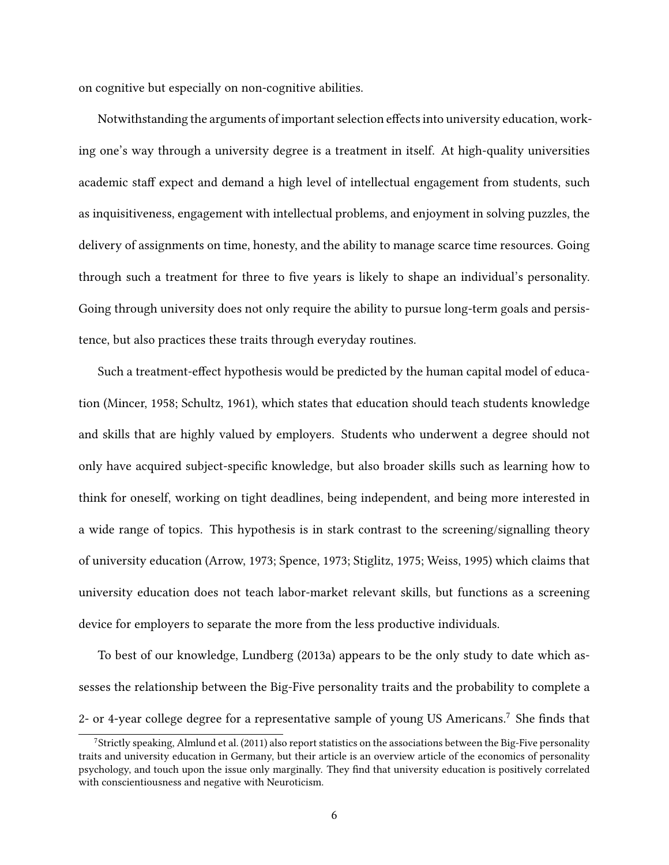on cognitive but especially on non-cognitive abilities.

Notwithstanding the arguments of important selection effects into university education, working one's way through a university degree is a treatment in itself. At high-quality universities academic staff expect and demand a high level of intellectual engagement from students, such as inquisitiveness, engagement with intellectual problems, and enjoyment in solving puzzles, the delivery of assignments on time, honesty, and the ability to manage scarce time resources. Going through such a treatment for three to five years is likely to shape an individual's personality. Going through university does not only require the ability to pursue long-term goals and persistence, but also practices these traits through everyday routines.

Such a treatment-effect hypothesis would be predicted by the human capital model of education (Mincer, 1958; Schultz, 1961), which states that education should teach students knowledge and skills that are highly valued by employers. Students who underwent a degree should not only have acquired subject-specific knowledge, but also broader skills such as learning how to think for oneself, working on tight deadlines, being independent, and being more interested in a wide range of topics. This hypothesis is in stark contrast to the screening/signalling theory of university education (Arrow, 1973; Spence, 1973; Stiglitz, 1975; Weiss, 1995) which claims that university education does not teach labor-market relevant skills, but functions as a screening device for employers to separate the more from the less productive individuals.

To best of our knowledge, Lundberg (2013a) appears to be the only study to date which assesses the relationship between the Big-Five personality traits and the probability to complete a 2- or 4-year college degree for a representative sample of young US Americans.<sup>7</sup> She finds that

<sup>7</sup>Strictly speaking, Almlund et al. (2011) also report statistics on the associations between the Big-Five personality traits and university education in Germany, but their article is an overview article of the economics of personality psychology, and touch upon the issue only marginally. They find that university education is positively correlated with conscientiousness and negative with Neuroticism.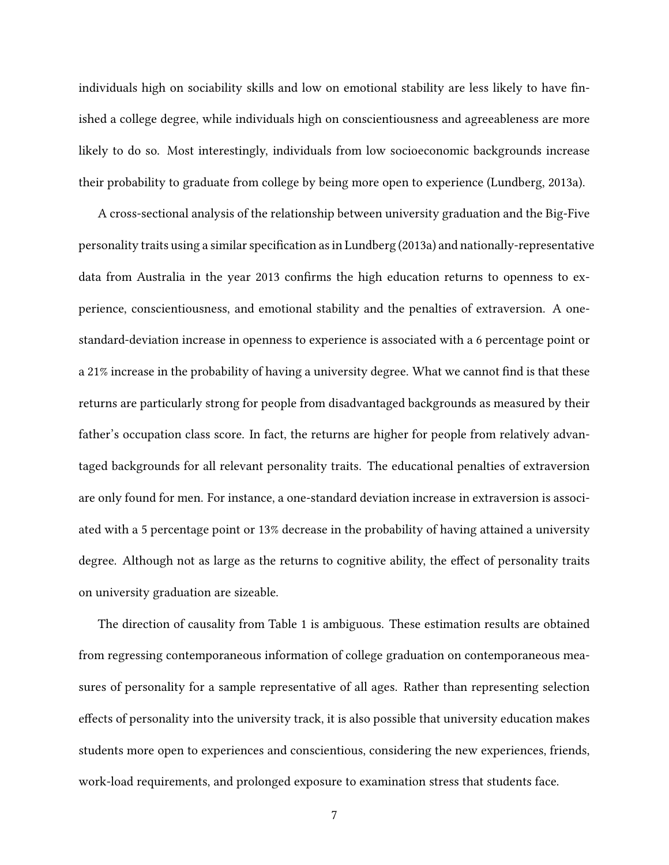individuals high on sociability skills and low on emotional stability are less likely to have finished a college degree, while individuals high on conscientiousness and agreeableness are more likely to do so. Most interestingly, individuals from low socioeconomic backgrounds increase their probability to graduate from college by being more open to experience (Lundberg, 2013a).

A cross-sectional analysis of the relationship between university graduation and the Big-Five personality traits using a similar specification as in Lundberg (2013a) and nationally-representative data from Australia in the year 2013 confirms the high education returns to openness to experience, conscientiousness, and emotional stability and the penalties of extraversion. A onestandard-deviation increase in openness to experience is associated with a 6 percentage point or a 21% increase in the probability of having a university degree. What we cannot find is that these returns are particularly strong for people from disadvantaged backgrounds as measured by their father's occupation class score. In fact, the returns are higher for people from relatively advantaged backgrounds for all relevant personality traits. The educational penalties of extraversion are only found for men. For instance, a one-standard deviation increase in extraversion is associated with a 5 percentage point or 13% decrease in the probability of having attained a university degree. Although not as large as the returns to cognitive ability, the effect of personality traits on university graduation are sizeable.

The direction of causality from Table 1 is ambiguous. These estimation results are obtained from regressing contemporaneous information of college graduation on contemporaneous measures of personality for a sample representative of all ages. Rather than representing selection effects of personality into the university track, it is also possible that university education makes students more open to experiences and conscientious, considering the new experiences, friends, work-load requirements, and prolonged exposure to examination stress that students face.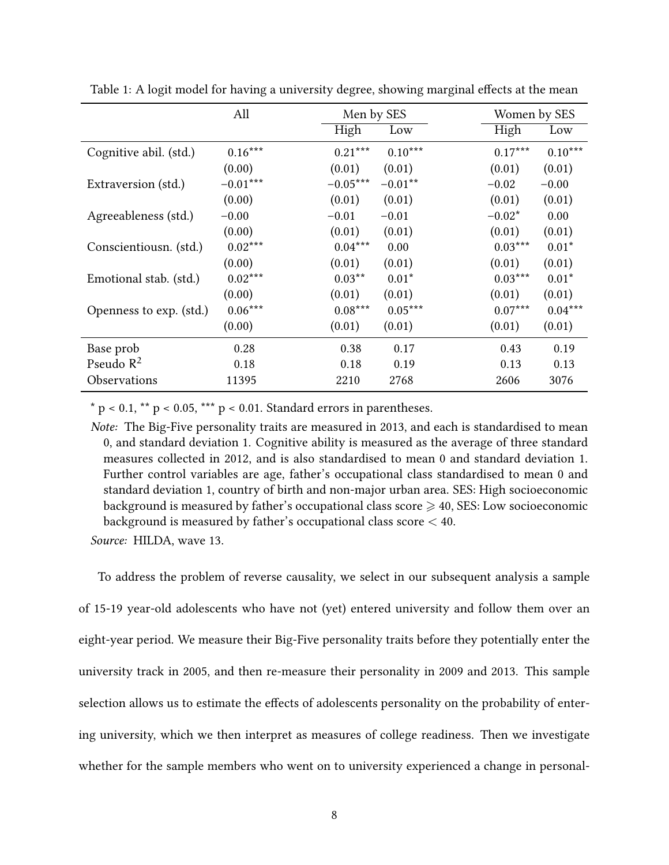|                         | All        | Men by SES               | Women by SES           |
|-------------------------|------------|--------------------------|------------------------|
|                         |            | High<br>Low              | High<br>Low            |
| Cognitive abil. (std.)  | $0.16***$  | $0.21***$<br>$0.10***$   | $0.17***$<br>$0.10***$ |
|                         | (0.00)     | (0.01)<br>(0.01)         | (0.01)<br>(0.01)       |
| Extraversion (std.)     | $-0.01***$ | $-0.05***$<br>$-0.01***$ | $-0.02$<br>$-0.00$     |
|                         | (0.00)     | (0.01)<br>(0.01)         | (0.01)<br>(0.01)       |
| Agreeableness (std.)    | $-0.00$    | $-0.01$<br>$-0.01$       | $-0.02*$<br>0.00       |
|                         | (0.00)     | (0.01)<br>(0.01)         | (0.01)<br>(0.01)       |
| Conscientiousn. (std.)  | $0.02***$  | $0.04***$<br>0.00        | $0.03***$<br>$0.01*$   |
|                         | (0.00)     | (0.01)<br>(0.01)         | (0.01)<br>(0.01)       |
| Emotional stab. (std.)  | $0.02***$  | $0.03**$<br>$0.01*$      | $0.03***$<br>$0.01*$   |
|                         | (0.00)     | (0.01)<br>(0.01)         | (0.01)<br>(0.01)       |
| Openness to exp. (std.) | $0.06***$  | $0.08***$<br>$0.05***$   | $0.07***$<br>$0.04***$ |
|                         | (0.00)     | (0.01)<br>(0.01)         | (0.01)<br>(0.01)       |
| Base prob               | 0.28       | 0.38<br>0.17             | 0.43<br>0.19           |
| Pseudo $R^2$            | 0.18       | 0.18<br>0.19             | 0.13<br>0.13           |
| Observations            | 11395      | 2210<br>2768             | 2606<br>3076           |

Table 1: A logit model for having a university degree, showing marginal effects at the mean

 $*$  p < 0.1,  $**$  p < 0.05,  $***$  p < 0.01. Standard errors in parentheses.

*Note:* The Big-Five personality traits are measured in 2013, and each is standardised to mean 0, and standard deviation 1. Cognitive ability is measured as the average of three standard measures collected in 2012, and is also standardised to mean 0 and standard deviation 1. Further control variables are age, father's occupational class standardised to mean 0 and standard deviation 1, country of birth and non-major urban area. SES: High socioeconomic background is measured by father's occupational class score  $\geq 40$ , SES: Low socioeconomic background is measured by father's occupational class score < 40.

*Source:* HILDA, wave 13.

To address the problem of reverse causality, we select in our subsequent analysis a sample of 15-19 year-old adolescents who have not (yet) entered university and follow them over an eight-year period. We measure their Big-Five personality traits before they potentially enter the university track in 2005, and then re-measure their personality in 2009 and 2013. This sample selection allows us to estimate the effects of adolescents personality on the probability of entering university, which we then interpret as measures of college readiness. Then we investigate whether for the sample members who went on to university experienced a change in personal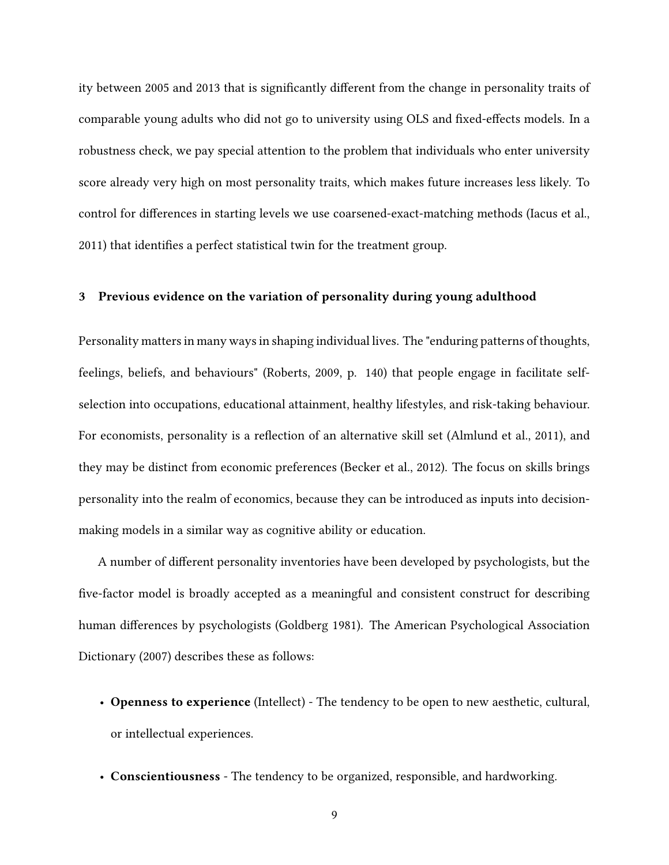ity between 2005 and 2013 that is significantly different from the change in personality traits of comparable young adults who did not go to university using OLS and fixed-effects models. In a robustness check, we pay special attention to the problem that individuals who enter university score already very high on most personality traits, which makes future increases less likely. To control for differences in starting levels we use coarsened-exact-matching methods (Iacus et al., 2011) that identifies a perfect statistical twin for the treatment group.

#### **3 Previous evidence on the variation of personality during young adulthood**

Personality matters in many ways in shaping individual lives. The "enduring patterns of thoughts, feelings, beliefs, and behaviours" (Roberts, 2009, p. 140) that people engage in facilitate selfselection into occupations, educational attainment, healthy lifestyles, and risk-taking behaviour. For economists, personality is a reflection of an alternative skill set (Almlund et al., 2011), and they may be distinct from economic preferences (Becker et al., 2012). The focus on skills brings personality into the realm of economics, because they can be introduced as inputs into decisionmaking models in a similar way as cognitive ability or education.

A number of different personality inventories have been developed by psychologists, but the five-factor model is broadly accepted as a meaningful and consistent construct for describing human differences by psychologists (Goldberg 1981). The American Psychological Association Dictionary (2007) describes these as follows:

- **Openness to experience** (Intellect) The tendency to be open to new aesthetic, cultural, or intellectual experiences.
- **Conscientiousness** The tendency to be organized, responsible, and hardworking.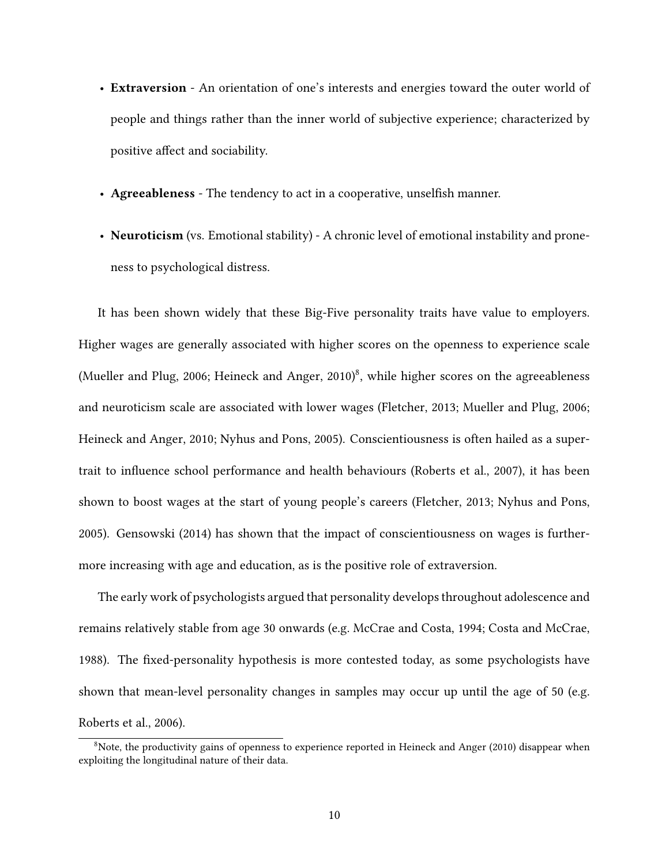- **Extraversion** An orientation of one's interests and energies toward the outer world of people and things rather than the inner world of subjective experience; characterized by positive affect and sociability.
- **Agreeableness** The tendency to act in a cooperative, unselfish manner.
- **Neuroticism** (vs. Emotional stability) A chronic level of emotional instability and proneness to psychological distress.

It has been shown widely that these Big-Five personality traits have value to employers. Higher wages are generally associated with higher scores on the openness to experience scale (Mueller and Plug, 2006; Heineck and Anger, 2010)<sup>8</sup>, while higher scores on the agreeableness and neuroticism scale are associated with lower wages (Fletcher, 2013; Mueller and Plug, 2006; Heineck and Anger, 2010; Nyhus and Pons, 2005). Conscientiousness is often hailed as a supertrait to influence school performance and health behaviours (Roberts et al., 2007), it has been shown to boost wages at the start of young people's careers (Fletcher, 2013; Nyhus and Pons, 2005). Gensowski (2014) has shown that the impact of conscientiousness on wages is furthermore increasing with age and education, as is the positive role of extraversion.

The early work of psychologists argued that personality develops throughout adolescence and remains relatively stable from age 30 onwards (e.g. McCrae and Costa, 1994; Costa and McCrae, 1988). The fixed-personality hypothesis is more contested today, as some psychologists have shown that mean-level personality changes in samples may occur up until the age of 50 (e.g. Roberts et al., 2006).

<sup>&</sup>lt;sup>8</sup>Note, the productivity gains of openness to experience reported in Heineck and Anger (2010) disappear when exploiting the longitudinal nature of their data.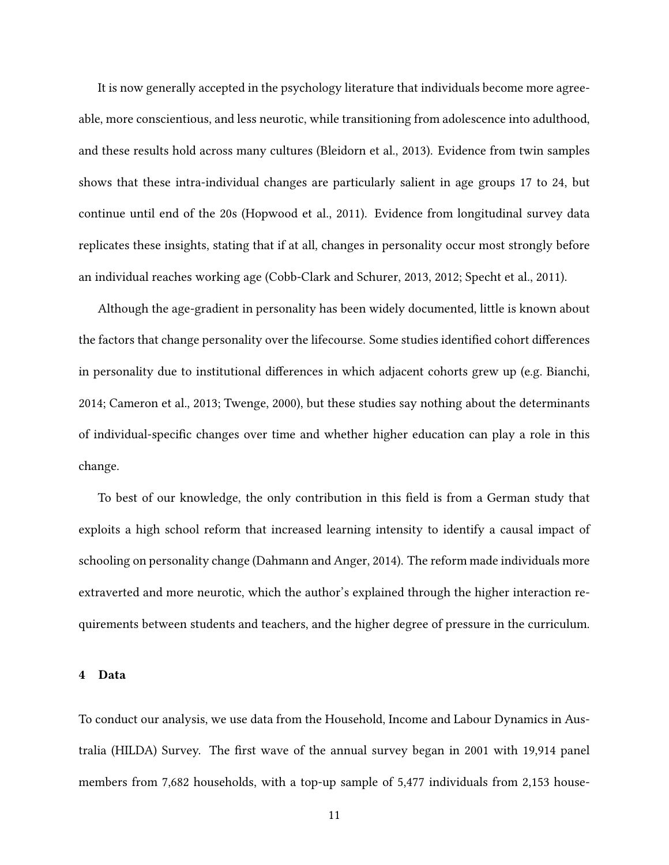It is now generally accepted in the psychology literature that individuals become more agreeable, more conscientious, and less neurotic, while transitioning from adolescence into adulthood, and these results hold across many cultures (Bleidorn et al., 2013). Evidence from twin samples shows that these intra-individual changes are particularly salient in age groups 17 to 24, but continue until end of the 20s (Hopwood et al., 2011). Evidence from longitudinal survey data replicates these insights, stating that if at all, changes in personality occur most strongly before an individual reaches working age (Cobb-Clark and Schurer, 2013, 2012; Specht et al., 2011).

Although the age-gradient in personality has been widely documented, little is known about the factors that change personality over the lifecourse. Some studies identified cohort differences in personality due to institutional differences in which adjacent cohorts grew up (e.g. Bianchi, 2014; Cameron et al., 2013; Twenge, 2000), but these studies say nothing about the determinants of individual-specific changes over time and whether higher education can play a role in this change.

To best of our knowledge, the only contribution in this field is from a German study that exploits a high school reform that increased learning intensity to identify a causal impact of schooling on personality change (Dahmann and Anger, 2014). The reform made individuals more extraverted and more neurotic, which the author's explained through the higher interaction requirements between students and teachers, and the higher degree of pressure in the curriculum.

#### **4 Data**

To conduct our analysis, we use data from the Household, Income and Labour Dynamics in Australia (HILDA) Survey. The first wave of the annual survey began in 2001 with 19,914 panel members from 7,682 households, with a top-up sample of 5,477 individuals from 2,153 house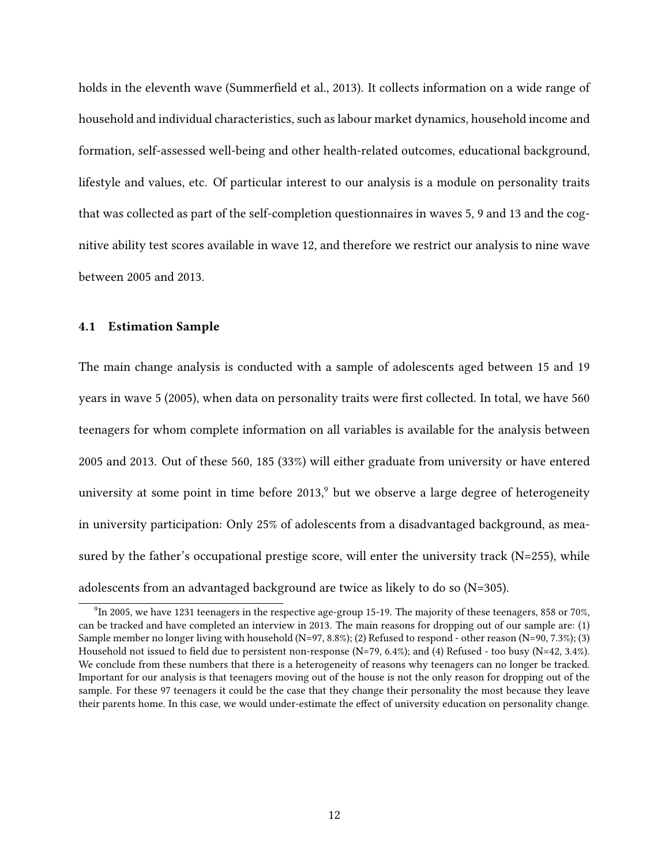holds in the eleventh wave (Summerfield et al., 2013). It collects information on a wide range of household and individual characteristics, such as labour market dynamics, household income and formation, self-assessed well-being and other health-related outcomes, educational background, lifestyle and values, etc. Of particular interest to our analysis is a module on personality traits that was collected as part of the self-completion questionnaires in waves 5, 9 and 13 and the cognitive ability test scores available in wave 12, and therefore we restrict our analysis to nine wave between 2005 and 2013.

#### **4.1 Estimation Sample**

The main change analysis is conducted with a sample of adolescents aged between 15 and 19 years in wave 5 (2005), when data on personality traits were first collected. In total, we have 560 teenagers for whom complete information on all variables is available for the analysis between 2005 and 2013. Out of these 560, 185 (33%) will either graduate from university or have entered university at some point in time before  $2013$ , but we observe a large degree of heterogeneity in university participation: Only 25% of adolescents from a disadvantaged background, as measured by the father's occupational prestige score, will enter the university track (N=255), while adolescents from an advantaged background are twice as likely to do so (N=305).

 $9$ In 2005, we have 1231 teenagers in the respective age-group 15-19. The majority of these teenagers, 858 or 70%, can be tracked and have completed an interview in 2013. The main reasons for dropping out of our sample are: (1) Sample member no longer living with household (N=97, 8.8%); (2) Refused to respond - other reason (N=90, 7.3%); (3) Household not issued to field due to persistent non-response (N=79, 6.4%); and (4) Refused - too busy (N=42, 3.4%). We conclude from these numbers that there is a heterogeneity of reasons why teenagers can no longer be tracked. Important for our analysis is that teenagers moving out of the house is not the only reason for dropping out of the sample. For these 97 teenagers it could be the case that they change their personality the most because they leave their parents home. In this case, we would under-estimate the effect of university education on personality change.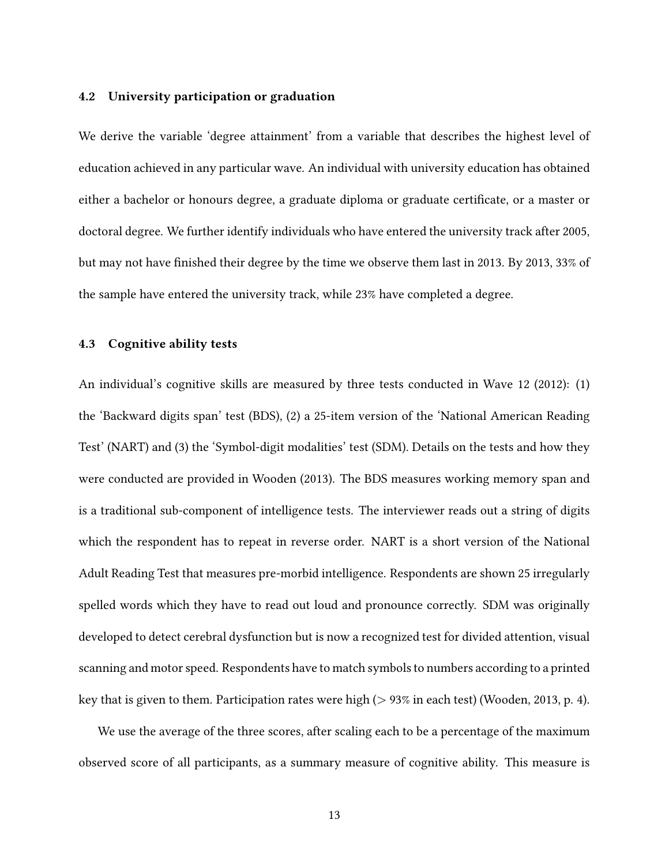#### **4.2 University participation or graduation**

We derive the variable 'degree attainment' from a variable that describes the highest level of education achieved in any particular wave. An individual with university education has obtained either a bachelor or honours degree, a graduate diploma or graduate certificate, or a master or doctoral degree. We further identify individuals who have entered the university track after 2005, but may not have finished their degree by the time we observe them last in 2013. By 2013, 33% of the sample have entered the university track, while 23% have completed a degree.

#### **4.3 Cognitive ability tests**

An individual's cognitive skills are measured by three tests conducted in Wave 12 (2012): (1) the 'Backward digits span' test (BDS), (2) a 25-item version of the 'National American Reading Test' (NART) and (3) the 'Symbol-digit modalities' test (SDM). Details on the tests and how they were conducted are provided in Wooden (2013). The BDS measures working memory span and is a traditional sub-component of intelligence tests. The interviewer reads out a string of digits which the respondent has to repeat in reverse order. NART is a short version of the National Adult Reading Test that measures pre-morbid intelligence. Respondents are shown 25 irregularly spelled words which they have to read out loud and pronounce correctly. SDM was originally developed to detect cerebral dysfunction but is now a recognized test for divided attention, visual scanning and motor speed. Respondents have to match symbols to numbers according to a printed key that is given to them. Participation rates were high  $(> 93\%$  in each test) (Wooden, 2013, p. 4).

We use the average of the three scores, after scaling each to be a percentage of the maximum observed score of all participants, as a summary measure of cognitive ability. This measure is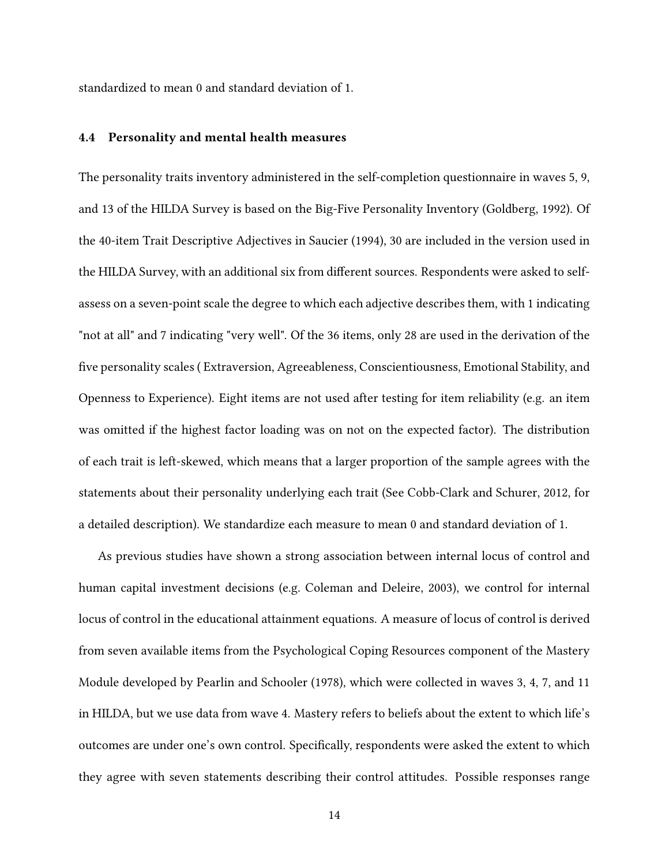standardized to mean 0 and standard deviation of 1.

#### **4.4 Personality and mental health measures**

The personality traits inventory administered in the self-completion questionnaire in waves 5, 9, and 13 of the HILDA Survey is based on the Big-Five Personality Inventory (Goldberg, 1992). Of the 40-item Trait Descriptive Adjectives in Saucier (1994), 30 are included in the version used in the HILDA Survey, with an additional six from different sources. Respondents were asked to selfassess on a seven-point scale the degree to which each adjective describes them, with 1 indicating "not at all" and 7 indicating "very well". Of the 36 items, only 28 are used in the derivation of the five personality scales ( Extraversion, Agreeableness, Conscientiousness, Emotional Stability, and Openness to Experience). Eight items are not used after testing for item reliability (e.g. an item was omitted if the highest factor loading was on not on the expected factor). The distribution of each trait is left-skewed, which means that a larger proportion of the sample agrees with the statements about their personality underlying each trait (See Cobb-Clark and Schurer, 2012, for a detailed description). We standardize each measure to mean 0 and standard deviation of 1.

As previous studies have shown a strong association between internal locus of control and human capital investment decisions (e.g. Coleman and Deleire, 2003), we control for internal locus of control in the educational attainment equations. A measure of locus of control is derived from seven available items from the Psychological Coping Resources component of the Mastery Module developed by Pearlin and Schooler (1978), which were collected in waves 3, 4, 7, and 11 in HILDA, but we use data from wave 4. Mastery refers to beliefs about the extent to which life's outcomes are under one's own control. Specifically, respondents were asked the extent to which they agree with seven statements describing their control attitudes. Possible responses range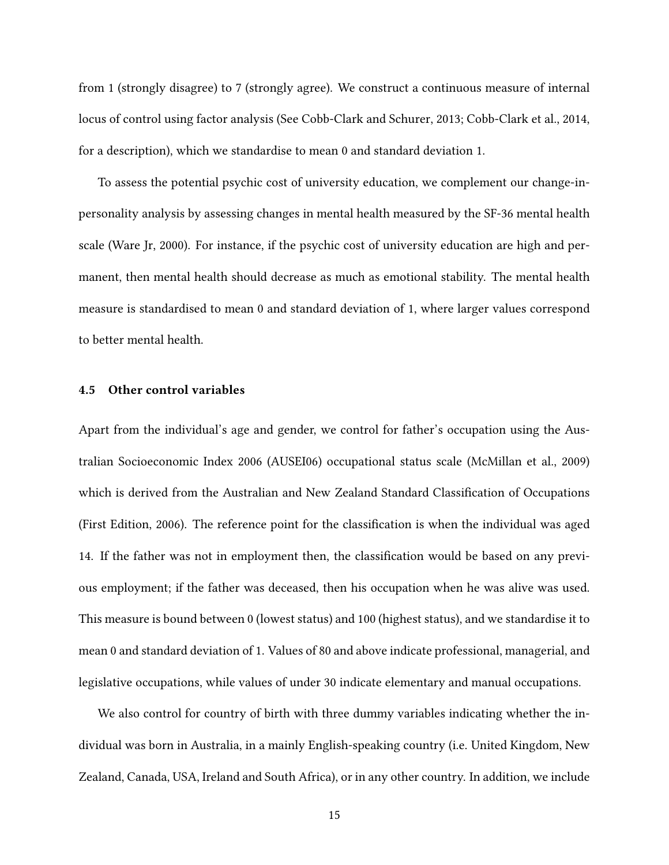from 1 (strongly disagree) to 7 (strongly agree). We construct a continuous measure of internal locus of control using factor analysis (See Cobb-Clark and Schurer, 2013; Cobb-Clark et al., 2014, for a description), which we standardise to mean 0 and standard deviation 1.

To assess the potential psychic cost of university education, we complement our change-inpersonality analysis by assessing changes in mental health measured by the SF-36 mental health scale (Ware Jr, 2000). For instance, if the psychic cost of university education are high and permanent, then mental health should decrease as much as emotional stability. The mental health measure is standardised to mean 0 and standard deviation of 1, where larger values correspond to better mental health.

#### **4.5 Other control variables**

Apart from the individual's age and gender, we control for father's occupation using the Australian Socioeconomic Index 2006 (AUSEI06) occupational status scale (McMillan et al., 2009) which is derived from the Australian and New Zealand Standard Classification of Occupations (First Edition, 2006). The reference point for the classification is when the individual was aged 14. If the father was not in employment then, the classification would be based on any previous employment; if the father was deceased, then his occupation when he was alive was used. This measure is bound between 0 (lowest status) and 100 (highest status), and we standardise it to mean 0 and standard deviation of 1. Values of 80 and above indicate professional, managerial, and legislative occupations, while values of under 30 indicate elementary and manual occupations.

We also control for country of birth with three dummy variables indicating whether the individual was born in Australia, in a mainly English-speaking country (i.e. United Kingdom, New Zealand, Canada, USA, Ireland and South Africa), or in any other country. In addition, we include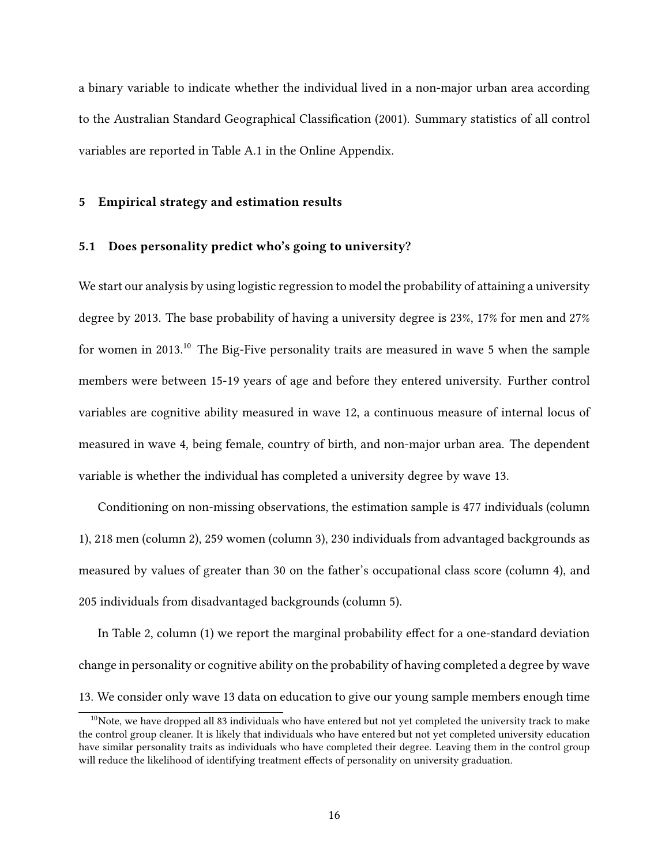a binary variable to indicate whether the individual lived in a non-major urban area according to the Australian Standard Geographical Classification (2001). Summary statistics of all control variables are reported in Table A.1 in the Online Appendix.

#### **5 Empirical strategy and estimation results**

#### **5.1 Does personality predict who's going to university?**

We start our analysis by using logistic regression to model the probability of attaining a university degree by 2013. The base probability of having a university degree is 23%, 17% for men and 27% for women in 2013.<sup>10</sup> The Big-Five personality traits are measured in wave 5 when the sample members were between 15-19 years of age and before they entered university. Further control variables are cognitive ability measured in wave 12, a continuous measure of internal locus of measured in wave 4, being female, country of birth, and non-major urban area. The dependent variable is whether the individual has completed a university degree by wave 13.

Conditioning on non-missing observations, the estimation sample is 477 individuals (column 1), 218 men (column 2), 259 women (column 3), 230 individuals from advantaged backgrounds as measured by values of greater than 30 on the father's occupational class score (column 4), and 205 individuals from disadvantaged backgrounds (column 5).

In Table 2, column (1) we report the marginal probability effect for a one-standard deviation change in personality or cognitive ability on the probability of having completed a degree by wave 13. We consider only wave 13 data on education to give our young sample members enough time

<sup>&</sup>lt;sup>10</sup>Note, we have dropped all 83 individuals who have entered but not yet completed the university track to make the control group cleaner. It is likely that individuals who have entered but not yet completed university education have similar personality traits as individuals who have completed their degree. Leaving them in the control group will reduce the likelihood of identifying treatment effects of personality on university graduation.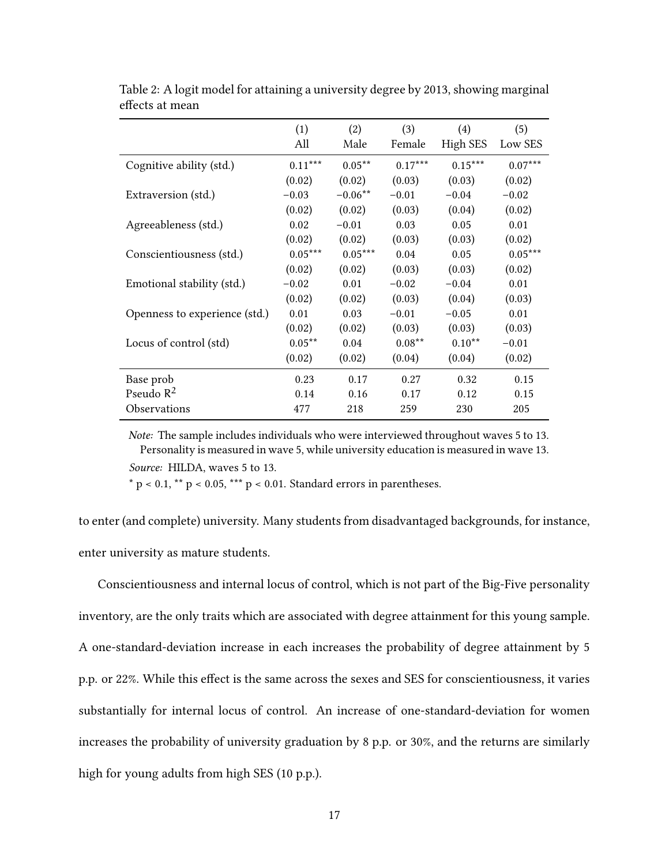|                               | (1)       | (2)       | (3)       | $\left( 4\right)$ | (5)       |
|-------------------------------|-----------|-----------|-----------|-------------------|-----------|
|                               | All       | Male      | Female    | High SES          | Low SES   |
| Cognitive ability (std.)      | $0.11***$ | $0.05***$ | $0.17***$ | $0.15***$         | $0.07***$ |
|                               | (0.02)    | (0.02)    | (0.03)    | (0.03)            | (0.02)    |
| Extraversion (std.)           | $-0.03$   | $-0.06**$ | $-0.01$   | $-0.04$           | $-0.02$   |
|                               | (0.02)    | (0.02)    | (0.03)    | (0.04)            | (0.02)    |
| Agreeableness (std.)          | 0.02      | $-0.01$   | 0.03      | 0.05              | 0.01      |
|                               | (0.02)    | (0.02)    | (0.03)    | (0.03)            | (0.02)    |
| Conscientiousness (std.)      | $0.05***$ | $0.05***$ | 0.04      | 0.05              | $0.05***$ |
|                               | (0.02)    | (0.02)    | (0.03)    | (0.03)            | (0.02)    |
| Emotional stability (std.)    | $-0.02$   | 0.01      | $-0.02$   | $-0.04$           | 0.01      |
|                               | (0.02)    | (0.02)    | (0.03)    | (0.04)            | (0.03)    |
| Openness to experience (std.) | 0.01      | 0.03      | $-0.01$   | $-0.05$           | 0.01      |
|                               | (0.02)    | (0.02)    | (0.03)    | (0.03)            | (0.03)    |
| Locus of control (std)        | $0.05**$  | 0.04      | $0.08**$  | $0.10**$          | $-0.01$   |
|                               | (0.02)    | (0.02)    | (0.04)    | (0.04)            | (0.02)    |
| Base prob                     | 0.23      | 0.17      | 0.27      | 0.32              | 0.15      |
| Pseudo $R^2$                  | 0.14      | 0.16      | 0.17      | 0.12              | 0.15      |
| Observations                  | 477       | 218       | 259       | 230               | 205       |

Table 2: A logit model for attaining a university degree by 2013, showing marginal effects at mean

*Note:* The sample includes individuals who were interviewed throughout waves 5 to 13. Personality is measured in wave 5, while university education is measured in wave 13. *Source:* HILDA, waves 5 to 13.

 $*$  p < 0.1,  $**$  p < 0.05,  $***$  p < 0.01. Standard errors in parentheses.

to enter (and complete) university. Many students from disadvantaged backgrounds, for instance, enter university as mature students.

Conscientiousness and internal locus of control, which is not part of the Big-Five personality inventory, are the only traits which are associated with degree attainment for this young sample. A one-standard-deviation increase in each increases the probability of degree attainment by 5 p.p. or 22%. While this effect is the same across the sexes and SES for conscientiousness, it varies substantially for internal locus of control. An increase of one-standard-deviation for women increases the probability of university graduation by 8 p.p. or 30%, and the returns are similarly high for young adults from high SES (10 p.p.).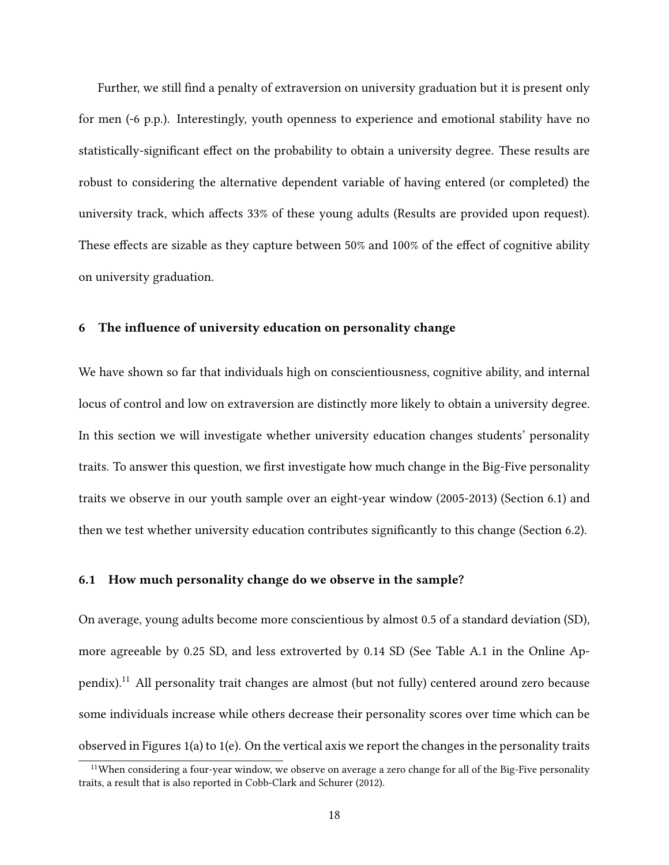Further, we still find a penalty of extraversion on university graduation but it is present only for men (-6 p.p.). Interestingly, youth openness to experience and emotional stability have no statistically-significant effect on the probability to obtain a university degree. These results are robust to considering the alternative dependent variable of having entered (or completed) the university track, which affects 33% of these young adults (Results are provided upon request). These effects are sizable as they capture between 50% and 100% of the effect of cognitive ability on university graduation.

#### **6 The influence of university education on personality change**

We have shown so far that individuals high on conscientiousness, cognitive ability, and internal locus of control and low on extraversion are distinctly more likely to obtain a university degree. In this section we will investigate whether university education changes students' personality traits. To answer this question, we first investigate how much change in the Big-Five personality traits we observe in our youth sample over an eight-year window (2005-2013) (Section 6.1) and then we test whether university education contributes significantly to this change (Section 6.2).

#### **6.1 How much personality change do we observe in the sample?**

On average, young adults become more conscientious by almost 0.5 of a standard deviation (SD), more agreeable by 0.25 SD, and less extroverted by 0.14 SD (See Table A.1 in the Online Appendix).<sup>11</sup> All personality trait changes are almost (but not fully) centered around zero because some individuals increase while others decrease their personality scores over time which can be observed in Figures 1(a) to 1(e). On the vertical axis we report the changes in the personality traits

<sup>&</sup>lt;sup>11</sup>When considering a four-year window, we observe on average a zero change for all of the Big-Five personality traits, a result that is also reported in Cobb-Clark and Schurer (2012).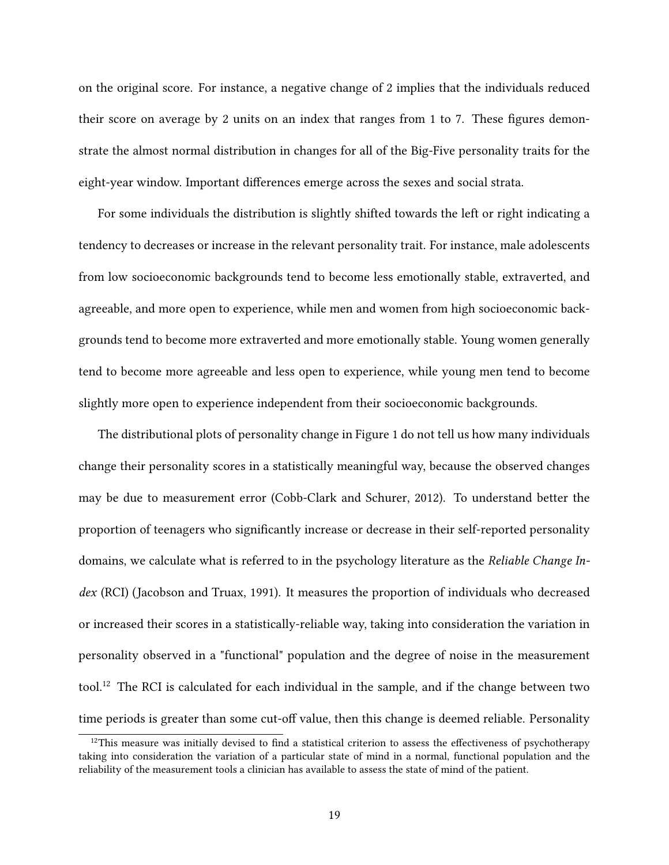on the original score. For instance, a negative change of 2 implies that the individuals reduced their score on average by 2 units on an index that ranges from 1 to 7. These figures demonstrate the almost normal distribution in changes for all of the Big-Five personality traits for the eight-year window. Important differences emerge across the sexes and social strata.

For some individuals the distribution is slightly shifted towards the left or right indicating a tendency to decreases or increase in the relevant personality trait. For instance, male adolescents from low socioeconomic backgrounds tend to become less emotionally stable, extraverted, and agreeable, and more open to experience, while men and women from high socioeconomic backgrounds tend to become more extraverted and more emotionally stable. Young women generally tend to become more agreeable and less open to experience, while young men tend to become slightly more open to experience independent from their socioeconomic backgrounds.

The distributional plots of personality change in Figure 1 do not tell us how many individuals change their personality scores in a statistically meaningful way, because the observed changes may be due to measurement error (Cobb-Clark and Schurer, 2012). To understand better the proportion of teenagers who significantly increase or decrease in their self-reported personality domains, we calculate what is referred to in the psychology literature as the *Reliable Change Index* (RCI) (Jacobson and Truax, 1991). It measures the proportion of individuals who decreased or increased their scores in a statistically-reliable way, taking into consideration the variation in personality observed in a "functional" population and the degree of noise in the measurement tool.<sup>12</sup> The RCI is calculated for each individual in the sample, and if the change between two time periods is greater than some cut-off value, then this change is deemed reliable. Personality

 $12$ This measure was initially devised to find a statistical criterion to assess the effectiveness of psychotherapy taking into consideration the variation of a particular state of mind in a normal, functional population and the reliability of the measurement tools a clinician has available to assess the state of mind of the patient.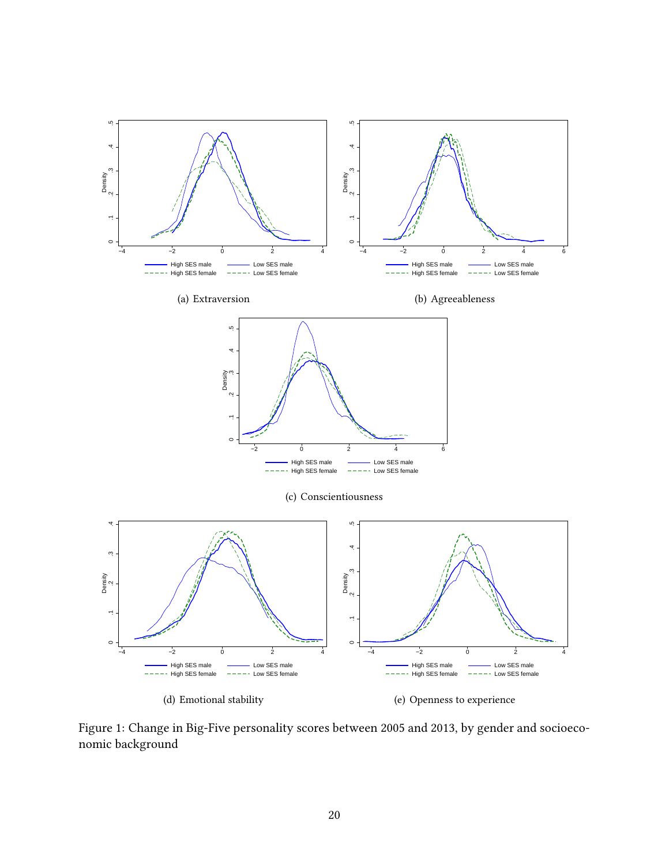

Figure 1: Change in Big-Five personality scores between 2005 and 2013, by gender and socioeconomic background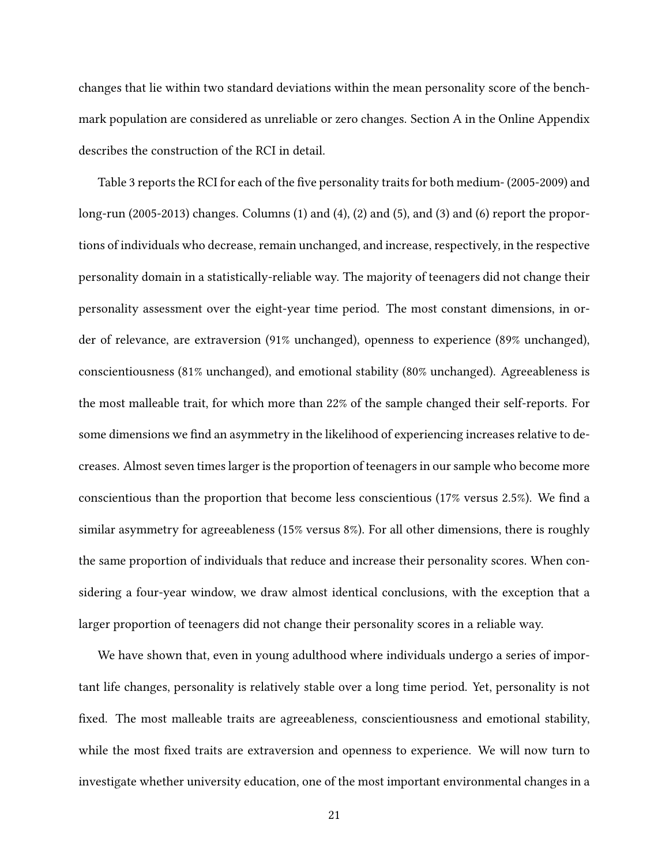changes that lie within two standard deviations within the mean personality score of the benchmark population are considered as unreliable or zero changes. Section A in the Online Appendix describes the construction of the RCI in detail.

Table 3 reports the RCI for each of the five personality traits for both medium- (2005-2009) and long-run (2005-2013) changes. Columns (1) and (4), (2) and (5), and (3) and (6) report the proportions of individuals who decrease, remain unchanged, and increase, respectively, in the respective personality domain in a statistically-reliable way. The majority of teenagers did not change their personality assessment over the eight-year time period. The most constant dimensions, in order of relevance, are extraversion (91% unchanged), openness to experience (89% unchanged), conscientiousness (81% unchanged), and emotional stability (80% unchanged). Agreeableness is the most malleable trait, for which more than 22% of the sample changed their self-reports. For some dimensions we find an asymmetry in the likelihood of experiencing increases relative to decreases. Almost seven times larger is the proportion of teenagers in our sample who become more conscientious than the proportion that become less conscientious (17% versus 2.5%). We find a similar asymmetry for agreeableness (15% versus 8%). For all other dimensions, there is roughly the same proportion of individuals that reduce and increase their personality scores. When considering a four-year window, we draw almost identical conclusions, with the exception that a larger proportion of teenagers did not change their personality scores in a reliable way.

We have shown that, even in young adulthood where individuals undergo a series of important life changes, personality is relatively stable over a long time period. Yet, personality is not fixed. The most malleable traits are agreeableness, conscientiousness and emotional stability, while the most fixed traits are extraversion and openness to experience. We will now turn to investigate whether university education, one of the most important environmental changes in a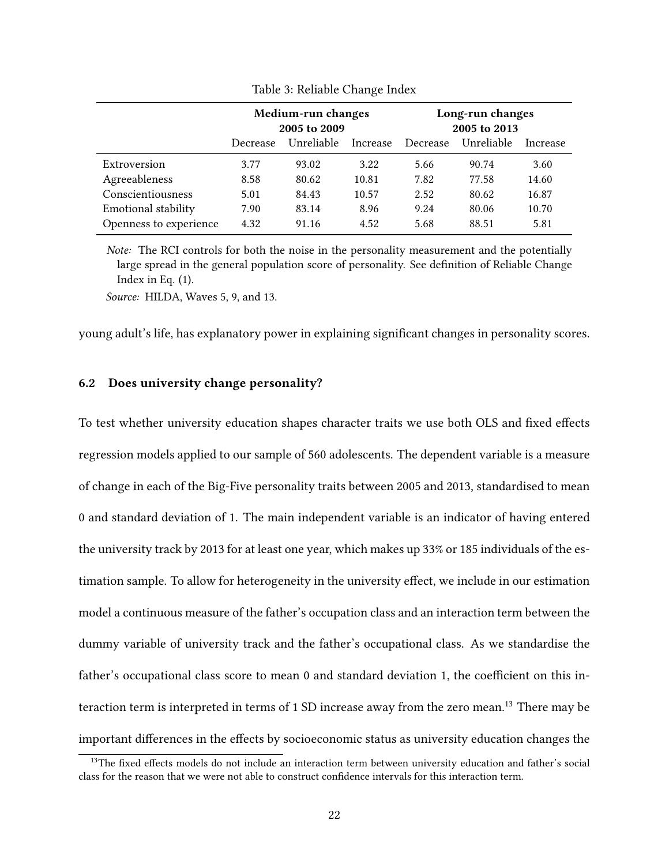|                        | Medium-run changes<br>2005 to 2009 |                        |       | Long-run changes<br>2005 to 2013 |            |          |  |
|------------------------|------------------------------------|------------------------|-------|----------------------------------|------------|----------|--|
|                        | Decrease                           | Unreliable<br>Increase |       |                                  | Unreliable | Increase |  |
| Extroversion           | 3.77                               | 93.02                  | 3.22  | 5.66                             | 90.74      | 3.60     |  |
| Agreeableness          | 8.58                               | 80.62                  | 10.81 | 7.82                             | 77.58      | 14.60    |  |
| Conscientiousness      | 5.01                               | 84.43                  | 10.57 | 2.52                             | 80.62      | 16.87    |  |
| Emotional stability    | 7.90                               | 83.14                  | 8.96  | 9.24                             | 80.06      | 10.70    |  |
| Openness to experience | 4.32                               | 91.16                  | 4.52  | 5.68                             | 88.51      | 5.81     |  |

Table 3: Reliable Change Index

*Note:* The RCI controls for both the noise in the personality measurement and the potentially large spread in the general population score of personality. See definition of Reliable Change Index in Eq. (1).

*Source:* HILDA, Waves 5, 9, and 13.

young adult's life, has explanatory power in explaining significant changes in personality scores.

#### **6.2 Does university change personality?**

To test whether university education shapes character traits we use both OLS and fixed effects regression models applied to our sample of 560 adolescents. The dependent variable is a measure of change in each of the Big-Five personality traits between 2005 and 2013, standardised to mean 0 and standard deviation of 1. The main independent variable is an indicator of having entered the university track by 2013 for at least one year, which makes up 33% or 185 individuals of the estimation sample. To allow for heterogeneity in the university effect, we include in our estimation model a continuous measure of the father's occupation class and an interaction term between the dummy variable of university track and the father's occupational class. As we standardise the father's occupational class score to mean 0 and standard deviation 1, the coefficient on this interaction term is interpreted in terms of 1 SD increase away from the zero mean.<sup>13</sup> There may be important differences in the effects by socioeconomic status as university education changes the

<sup>&</sup>lt;sup>13</sup>The fixed effects models do not include an interaction term between university education and father's social class for the reason that we were not able to construct confidence intervals for this interaction term.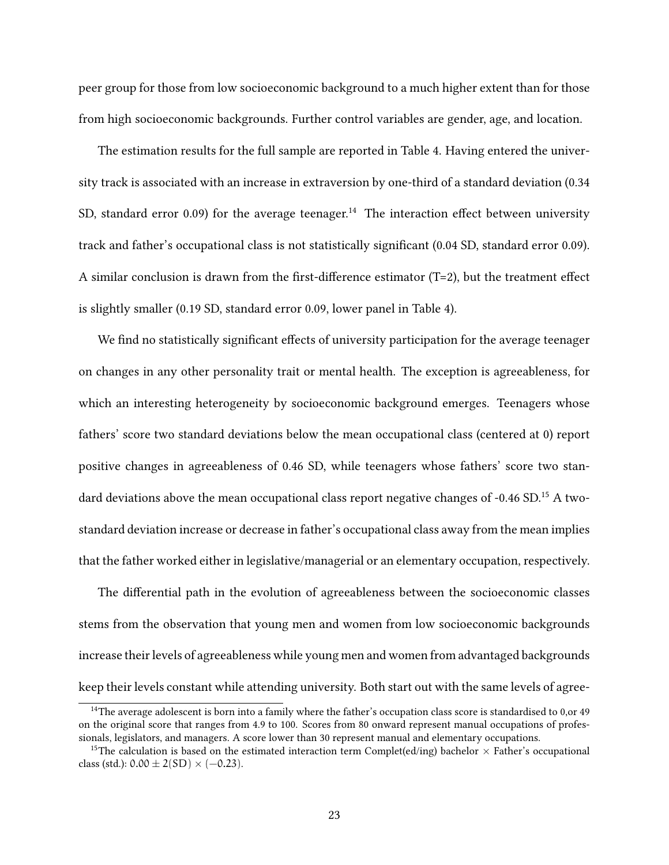peer group for those from low socioeconomic background to a much higher extent than for those from high socioeconomic backgrounds. Further control variables are gender, age, and location.

The estimation results for the full sample are reported in Table 4. Having entered the university track is associated with an increase in extraversion by one-third of a standard deviation (0.34 SD, standard error 0.09) for the average teenager.<sup>14</sup> The interaction effect between university track and father's occupational class is not statistically significant (0.04 SD, standard error 0.09). A similar conclusion is drawn from the first-difference estimator (T=2), but the treatment effect is slightly smaller (0.19 SD, standard error 0.09, lower panel in Table 4).

We find no statistically significant effects of university participation for the average teenager on changes in any other personality trait or mental health. The exception is agreeableness, for which an interesting heterogeneity by socioeconomic background emerges. Teenagers whose fathers' score two standard deviations below the mean occupational class (centered at 0) report positive changes in agreeableness of 0.46 SD, while teenagers whose fathers' score two standard deviations above the mean occupational class report negative changes of -0.46 SD.<sup>15</sup> A twostandard deviation increase or decrease in father's occupational class away from the mean implies that the father worked either in legislative/managerial or an elementary occupation, respectively.

The differential path in the evolution of agreeableness between the socioeconomic classes stems from the observation that young men and women from low socioeconomic backgrounds increase their levels of agreeableness while young men and women from advantaged backgrounds keep their levels constant while attending university. Both start out with the same levels of agree-

<sup>&</sup>lt;sup>14</sup>The average adolescent is born into a family where the father's occupation class score is standardised to  $0,$ or 49 on the original score that ranges from 4.9 to 100. Scores from 80 onward represent manual occupations of professionals, legislators, and managers. A score lower than 30 represent manual and elementary occupations.

<sup>&</sup>lt;sup>15</sup>The calculation is based on the estimated interaction term Complet(ed/ing) bachelor  $\times$  Father's occupational class (std.):  $0.00 \pm 2(SD) \times (-0.23)$ .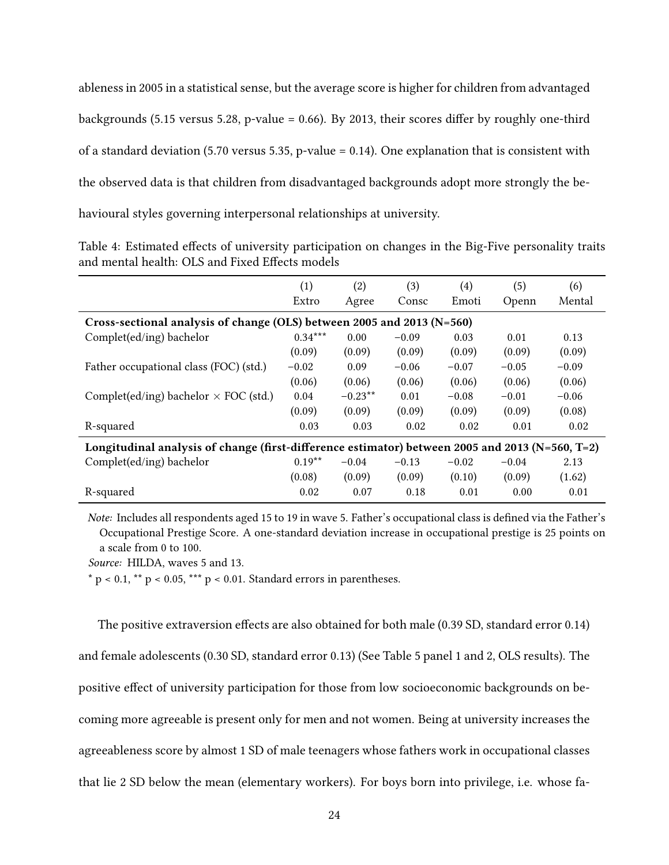ableness in 2005 in a statistical sense, but the average score is higher for children from advantaged backgrounds (5.15 versus 5.28, p-value = 0.66). By 2013, their scores differ by roughly one-third of a standard deviation (5.70 versus 5.35, p-value = 0.14). One explanation that is consistent with the observed data is that children from disadvantaged backgrounds adopt more strongly the behavioural styles governing interpersonal relationships at university.

Table 4: Estimated effects of university participation on changes in the Big-Five personality traits and mental health: OLS and Fixed Effects models

|                                                                                                 | (1)       | (2)       | (3)     | (4)     | (5)     | (6)     |  |
|-------------------------------------------------------------------------------------------------|-----------|-----------|---------|---------|---------|---------|--|
|                                                                                                 | Extro     | Agree     | Consc   | Emoti   | Openn   | Mental  |  |
| Cross-sectional analysis of change (OLS) between 2005 and 2013 (N=560)                          |           |           |         |         |         |         |  |
| Complet(ed/ing) bachelor                                                                        | $0.34***$ | 0.00      | $-0.09$ | 0.03    | 0.01    | 0.13    |  |
|                                                                                                 | (0.09)    | (0.09)    | (0.09)  | (0.09)  | (0.09)  | (0.09)  |  |
| Father occupational class (FOC) (std.)                                                          | $-0.02$   | 0.09      | $-0.06$ | $-0.07$ | $-0.05$ | $-0.09$ |  |
|                                                                                                 | (0.06)    | (0.06)    | (0.06)  | (0.06)  | (0.06)  | (0.06)  |  |
| Complet(ed/ing) bachelor $\times$ FOC (std.)                                                    | 0.04      | $-0.23**$ | 0.01    | $-0.08$ | $-0.01$ | $-0.06$ |  |
|                                                                                                 | (0.09)    | (0.09)    | (0.09)  | (0.09)  | (0.09)  | (0.08)  |  |
| R-squared                                                                                       | 0.03      | 0.03      | 0.02    | 0.02    | 0.01    | 0.02    |  |
| Longitudinal analysis of change (first-difference estimator) between 2005 and 2013 (N=560, T=2) |           |           |         |         |         |         |  |
| Complet(ed/ing) bachelor                                                                        | $0.19**$  | $-0.04$   | $-0.13$ | $-0.02$ | $-0.04$ | 2.13    |  |
|                                                                                                 | (0.08)    | (0.09)    | (0.09)  | (0.10)  | (0.09)  | (1.62)  |  |
| R-squared                                                                                       | 0.02      | 0.07      | 0.18    | 0.01    | 0.00    | 0.01    |  |

*Note:* Includes all respondents aged 15 to 19 in wave 5. Father's occupational class is defined via the Father's Occupational Prestige Score. A one-standard deviation increase in occupational prestige is 25 points on a scale from 0 to 100.

*Source:* HILDA, waves 5 and 13.

 $*$  p < 0.1,  $**$  p < 0.05,  $**$  p < 0.01. Standard errors in parentheses.

The positive extraversion effects are also obtained for both male (0.39 SD, standard error 0.14) and female adolescents (0.30 SD, standard error 0.13) (See Table 5 panel 1 and 2, OLS results). The positive effect of university participation for those from low socioeconomic backgrounds on becoming more agreeable is present only for men and not women. Being at university increases the agreeableness score by almost 1 SD of male teenagers whose fathers work in occupational classes that lie 2 SD below the mean (elementary workers). For boys born into privilege, i.e. whose fa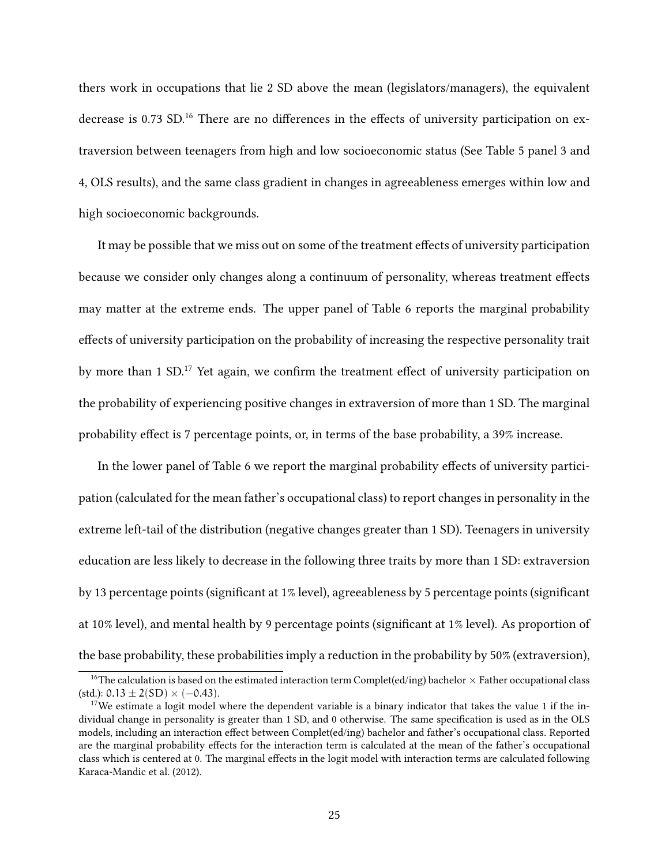thers work in occupations that lie 2 SD above the mean (legislators/managers), the equivalent decrease is 0.73 SD.<sup>16</sup> There are no differences in the effects of university participation on extraversion between teenagers from high and low socioeconomic status (See Table 5 panel 3 and 4, OLS results), and the same class gradient in changes in agreeableness emerges within low and high socioeconomic backgrounds.

It may be possible that we miss out on some of the treatment effects of university participation because we consider only changes along a continuum of personality, whereas treatment effects may matter at the extreme ends. The upper panel of Table 6 reports the marginal probability effects of university participation on the probability of increasing the respective personality trait by more than 1 SD.<sup>17</sup> Yet again, we confirm the treatment effect of university participation on the probability of experiencing positive changes in extraversion of more than 1 SD. The marginal probability effect is 7 percentage points, or, in terms of the base probability, a 39% increase.

In the lower panel of Table 6 we report the marginal probability effects of university participation (calculated for the mean father's occupational class) to report changes in personality in the extreme left-tail of the distribution (negative changes greater than 1 SD). Teenagers in university education are less likely to decrease in the following three traits by more than 1 SD: extraversion by 13 percentage points (significant at 1% level), agreeableness by 5 percentage points (significant at 10% level), and mental health by 9 percentage points (significant at 1% level). As proportion of the base probability, these probabilities imply a reduction in the probability by 50% (extraversion),

<sup>&</sup>lt;sup>16</sup>The calculation is based on the estimated interaction term Complet(ed/ing) bachelor  $\times$  Father occupational class  $(stat.): 0.13 \pm 2(SD) \times (-0.43).$ 

<sup>&</sup>lt;sup>17</sup>We estimate a logit model where the dependent variable is a binary indicator that takes the value 1 if the individual change in personality is greater than 1 SD, and 0 otherwise. The same specification is used as in the OLS models, including an interaction effect between Complet(ed/ing) bachelor and father's occupational class. Reported are the marginal probability effects for the interaction term is calculated at the mean of the father's occupational class which is centered at 0. The marginal effects in the logit model with interaction terms are calculated following Karaca-Mandic et al. (2012).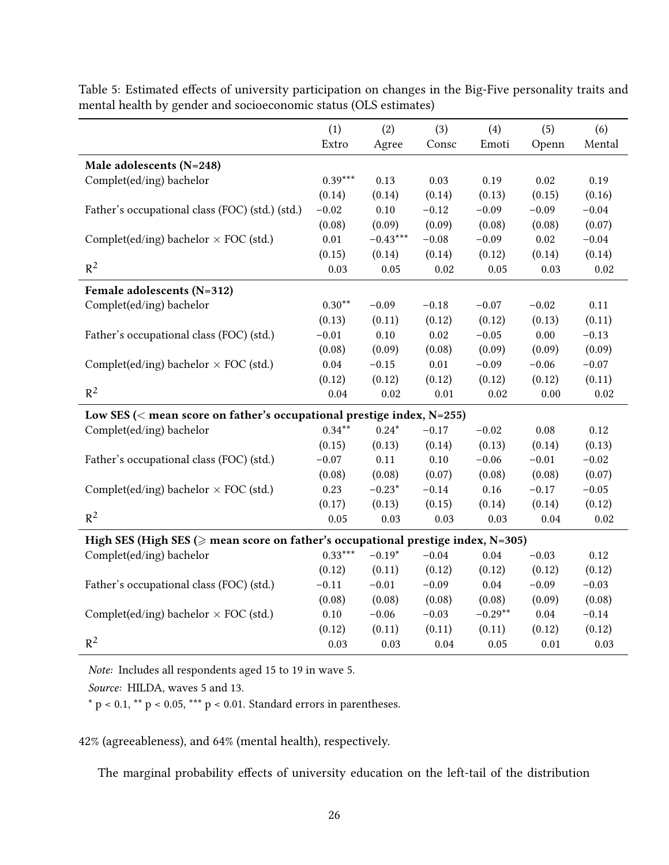|                                                                                             | (1)       | (2)        | (3)     | (4)       | (5)      | (6)     |
|---------------------------------------------------------------------------------------------|-----------|------------|---------|-----------|----------|---------|
|                                                                                             | Extro     | Agree      | Consc   | Emoti     | Openn    | Mental  |
| Male adolescents (N=248)                                                                    |           |            |         |           |          |         |
| Complet(ed/ing) bachelor                                                                    | $0.39***$ | 0.13       | 0.03    | 0.19      | 0.02     | 0.19    |
|                                                                                             | (0.14)    | (0.14)     | (0.14)  | (0.13)    | (0.15)   | (0.16)  |
| Father's occupational class (FOC) (std.) (std.)                                             | $-0.02$   | 0.10       | $-0.12$ | $-0.09$   | $-0.09$  | $-0.04$ |
|                                                                                             | (0.08)    | (0.09)     | (0.09)  | (0.08)    | (0.08)   | (0.07)  |
| Complet(ed/ing) bachelor $\times$ FOC (std.)                                                | 0.01      | $-0.43***$ | $-0.08$ | $-0.09$   | 0.02     | $-0.04$ |
|                                                                                             | (0.15)    | (0.14)     | (0.14)  | (0.12)    | (0.14)   | (0.14)  |
| $R^2$                                                                                       | 0.03      | 0.05       | 0.02    | 0.05      | 0.03     | 0.02    |
| Female adolescents (N=312)                                                                  |           |            |         |           |          |         |
| Complet(ed/ing) bachelor                                                                    | $0.30**$  | $-0.09$    | $-0.18$ | $-0.07$   | $-0.02$  | 0.11    |
|                                                                                             | (0.13)    | (0.11)     | (0.12)  | (0.12)    | (0.13)   | (0.11)  |
| Father's occupational class (FOC) (std.)                                                    | $-0.01$   | $0.10\,$   | 0.02    | $-0.05$   | 0.00     | $-0.13$ |
|                                                                                             | (0.08)    | (0.09)     | (0.08)  | (0.09)    | (0.09)   | (0.09)  |
| Complet(ed/ing) bachelor $\times$ FOC (std.)                                                | 0.04      | $-0.15$    | 0.01    | $-0.09$   | $-0.06$  | $-0.07$ |
|                                                                                             | (0.12)    | (0.12)     | (0.12)  | (0.12)    | (0.12)   | (0.11)  |
| $R^2$                                                                                       | 0.04      | 0.02       | 0.01    | 0.02      | 0.00     | 0.02    |
| Low SES ( $<$ mean score on father's occupational prestige index, N=255)                    |           |            |         |           |          |         |
| Complet(ed/ing) bachelor                                                                    | $0.34***$ | $0.24*$    | $-0.17$ | $-0.02$   | 0.08     | 0.12    |
|                                                                                             | (0.15)    | (0.13)     | (0.14)  | (0.13)    | (0.14)   | (0.13)  |
| Father's occupational class (FOC) (std.)                                                    | $-0.07$   | 0.11       | 0.10    | $-0.06$   | $-0.01$  | $-0.02$ |
|                                                                                             | (0.08)    | (0.08)     | (0.07)  | (0.08)    | (0.08)   | (0.07)  |
| Complet(ed/ing) bachelor $\times$ FOC (std.)                                                | 0.23      | $-0.23*$   | $-0.14$ | 0.16      | $-0.17$  | $-0.05$ |
|                                                                                             | (0.17)    | (0.13)     | (0.15)  | (0.14)    | (0.14)   | (0.12)  |
| $R^2$                                                                                       | 0.05      | 0.03       | 0.03    | 0.03      | 0.04     | 0.02    |
| High SES (High SES ( $\geqslant$ mean score on father's occupational prestige index, N=305) |           |            |         |           |          |         |
| Complet(ed/ing) bachelor                                                                    | $0.33***$ | $-0.19*$   | $-0.04$ | 0.04      | $-0.03$  | 0.12    |
|                                                                                             | (0.12)    | (0.11)     | (0.12)  | (0.12)    | (0.12)   | (0.12)  |
| Father's occupational class (FOC) (std.)                                                    | $-0.11$   | $-0.01$    | $-0.09$ | 0.04      | $-0.09$  | $-0.03$ |
|                                                                                             | (0.08)    | (0.08)     | (0.08)  | (0.08)    | (0.09)   | (0.08)  |
| Complet(ed/ing) bachelor $\times$ FOC (std.)                                                | $0.10\,$  | $-0.06$    | $-0.03$ | $-0.29**$ | $0.04\,$ | $-0.14$ |
|                                                                                             | (0.12)    | (0.11)     | (0.11)  | (0.11)    | (0.12)   | (0.12)  |
| $R^2$                                                                                       | 0.03      | 0.03       | 0.04    | 0.05      | 0.01     | 0.03    |

Table 5: Estimated effects of university participation on changes in the Big-Five personality traits and mental health by gender and socioeconomic status (OLS estimates)

*Note:* Includes all respondents aged 15 to 19 in wave 5.

*Source:* HILDA, waves 5 and 13.

 $*$  p < 0.1,  $**$  p < 0.05,  $***$  p < 0.01. Standard errors in parentheses.

42% (agreeableness), and 64% (mental health), respectively.

The marginal probability effects of university education on the left-tail of the distribution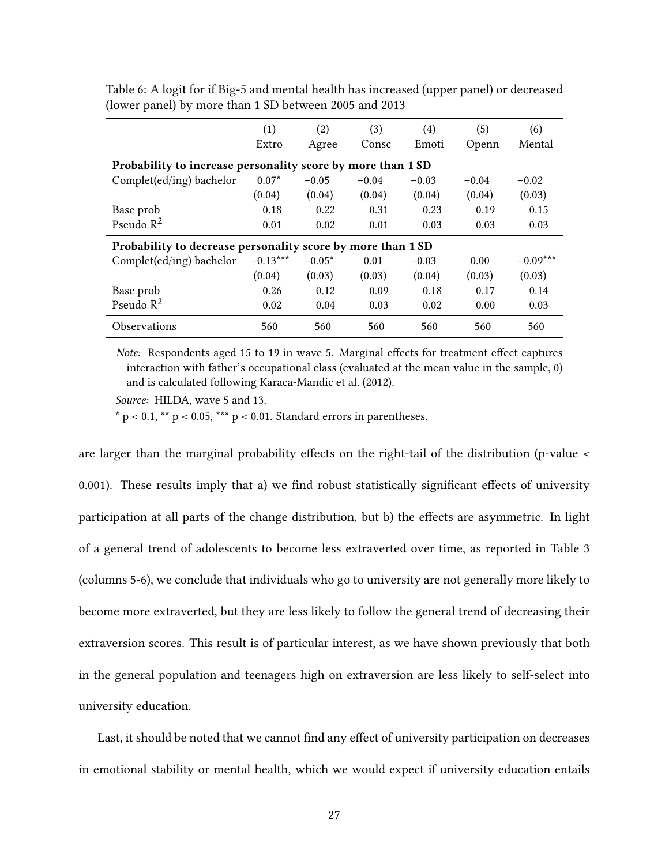|                                                             | (1)        | (2)      | (3)     | $\left( 4\right)$ | (5)     | (6)        |  |  |
|-------------------------------------------------------------|------------|----------|---------|-------------------|---------|------------|--|--|
|                                                             | Extro      | Agree    | Consc   | Emoti             | Openn   | Mental     |  |  |
| Probability to increase personality score by more than 1 SD |            |          |         |                   |         |            |  |  |
| Complet(ed/ing) bachelor                                    | $0.07*$    | $-0.05$  | $-0.04$ | $-0.03$           | $-0.04$ | $-0.02$    |  |  |
|                                                             | (0.04)     | (0.04)   | (0.04)  | (0.04)            | (0.04)  | (0.03)     |  |  |
| Base prob                                                   | 0.18       | 0.22     | 0.31    | 0.23              | 0.19    | 0.15       |  |  |
| Pseudo $R^2$                                                | 0.01       | 0.02     | 0.01    | 0.03              | 0.03    | 0.03       |  |  |
| Probability to decrease personality score by more than 1 SD |            |          |         |                   |         |            |  |  |
| Complet(ed/ing) bachelor                                    | $-0.13***$ | $-0.05*$ | 0.01    | $-0.03$           | 0.00    | $-0.09***$ |  |  |
|                                                             | (0.04)     | (0.03)   | (0.03)  | (0.04)            | (0.03)  | (0.03)     |  |  |
| Base prob                                                   | 0.26       | 0.12     | 0.09    | 0.18              | 0.17    | 0.14       |  |  |
| Pseudo $R^2$                                                | 0.02       | 0.04     | 0.03    | 0.02              | 0.00    | 0.03       |  |  |
| <b>Observations</b>                                         | 560        | 560      | 560     | 560               | 560     | 560        |  |  |

Table 6: A logit for if Big-5 and mental health has increased (upper panel) or decreased (lower panel) by more than 1 SD between 2005 and 2013

*Note:* Respondents aged 15 to 19 in wave 5. Marginal effects for treatment effect captures interaction with father's occupational class (evaluated at the mean value in the sample, 0) and is calculated following Karaca-Mandic et al. (2012).

*Source:* HILDA, wave 5 and 13.

 $*$  p < 0.1,  $**$  p < 0.05,  $***$  p < 0.01. Standard errors in parentheses.

are larger than the marginal probability effects on the right-tail of the distribution (p-value < 0.001). These results imply that a) we find robust statistically significant effects of university participation at all parts of the change distribution, but b) the effects are asymmetric. In light of a general trend of adolescents to become less extraverted over time, as reported in Table 3 (columns 5-6), we conclude that individuals who go to university are not generally more likely to become more extraverted, but they are less likely to follow the general trend of decreasing their extraversion scores. This result is of particular interest, as we have shown previously that both in the general population and teenagers high on extraversion are less likely to self-select into university education.

Last, it should be noted that we cannot find any effect of university participation on decreases in emotional stability or mental health, which we would expect if university education entails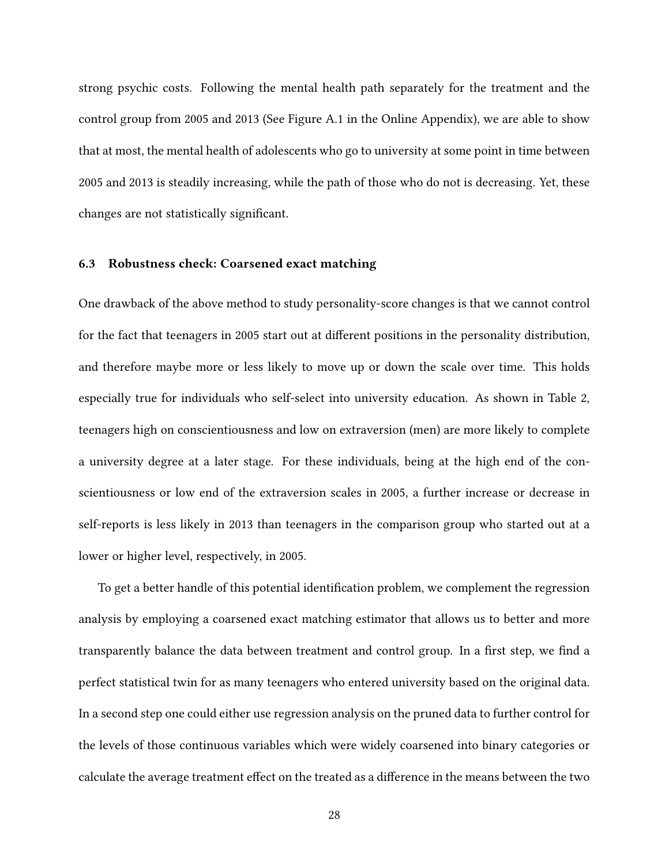strong psychic costs. Following the mental health path separately for the treatment and the control group from 2005 and 2013 (See Figure A.1 in the Online Appendix), we are able to show that at most, the mental health of adolescents who go to university at some point in time between 2005 and 2013 is steadily increasing, while the path of those who do not is decreasing. Yet, these changes are not statistically significant.

#### **6.3 Robustness check: Coarsened exact matching**

One drawback of the above method to study personality-score changes is that we cannot control for the fact that teenagers in 2005 start out at different positions in the personality distribution, and therefore maybe more or less likely to move up or down the scale over time. This holds especially true for individuals who self-select into university education. As shown in Table 2, teenagers high on conscientiousness and low on extraversion (men) are more likely to complete a university degree at a later stage. For these individuals, being at the high end of the conscientiousness or low end of the extraversion scales in 2005, a further increase or decrease in self-reports is less likely in 2013 than teenagers in the comparison group who started out at a lower or higher level, respectively, in 2005.

To get a better handle of this potential identification problem, we complement the regression analysis by employing a coarsened exact matching estimator that allows us to better and more transparently balance the data between treatment and control group. In a first step, we find a perfect statistical twin for as many teenagers who entered university based on the original data. In a second step one could either use regression analysis on the pruned data to further control for the levels of those continuous variables which were widely coarsened into binary categories or calculate the average treatment effect on the treated as a difference in the means between the two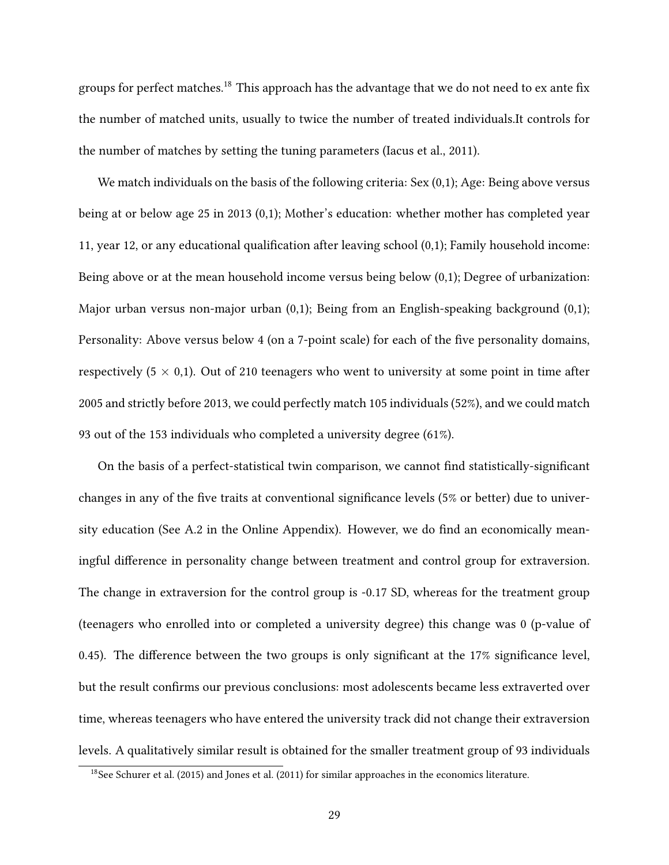groups for perfect matches.<sup>18</sup> This approach has the advantage that we do not need to ex ante fix the number of matched units, usually to twice the number of treated individuals.It controls for the number of matches by setting the tuning parameters (Iacus et al., 2011).

We match individuals on the basis of the following criteria: Sex (0,1); Age: Being above versus being at or below age 25 in 2013 (0,1); Mother's education: whether mother has completed year 11, year 12, or any educational qualification after leaving school (0,1); Family household income: Being above or at the mean household income versus being below (0,1); Degree of urbanization: Major urban versus non-major urban (0,1); Being from an English-speaking background (0,1); Personality: Above versus below 4 (on a 7-point scale) for each of the five personality domains, respectively  $(5 \times 0,1)$ . Out of 210 teenagers who went to university at some point in time after 2005 and strictly before 2013, we could perfectly match 105 individuals (52%), and we could match 93 out of the 153 individuals who completed a university degree (61%).

On the basis of a perfect-statistical twin comparison, we cannot find statistically-significant changes in any of the five traits at conventional significance levels (5% or better) due to university education (See A.2 in the Online Appendix). However, we do find an economically meaningful difference in personality change between treatment and control group for extraversion. The change in extraversion for the control group is -0.17 SD, whereas for the treatment group (teenagers who enrolled into or completed a university degree) this change was 0 (p-value of 0.45). The difference between the two groups is only significant at the 17% significance level, but the result confirms our previous conclusions: most adolescents became less extraverted over time, whereas teenagers who have entered the university track did not change their extraversion levels. A qualitatively similar result is obtained for the smaller treatment group of 93 individuals

<sup>18</sup>See Schurer et al. (2015) and Jones et al. (2011) for similar approaches in the economics literature.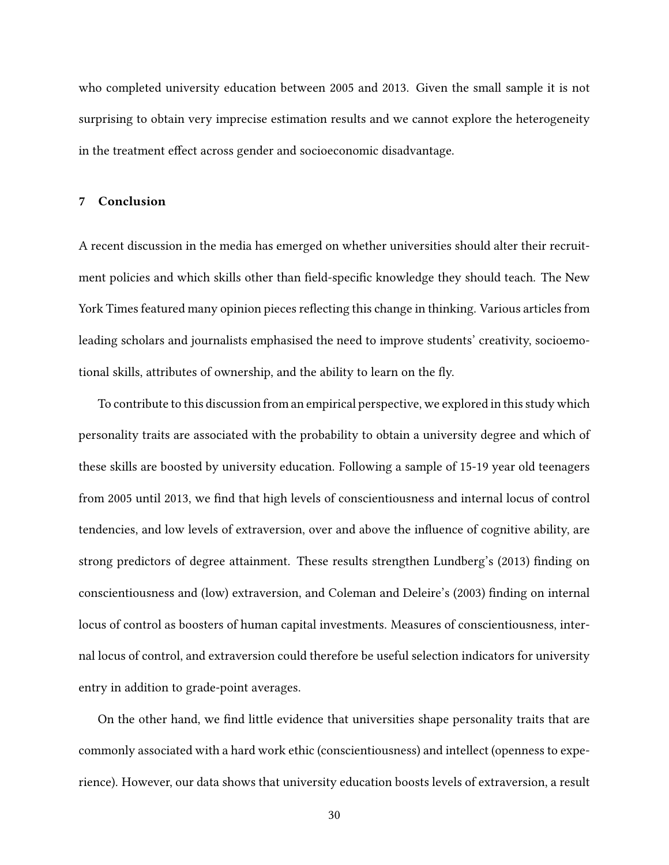who completed university education between 2005 and 2013. Given the small sample it is not surprising to obtain very imprecise estimation results and we cannot explore the heterogeneity in the treatment effect across gender and socioeconomic disadvantage.

#### **7 Conclusion**

A recent discussion in the media has emerged on whether universities should alter their recruitment policies and which skills other than field-specific knowledge they should teach. The New York Times featured many opinion pieces reflecting this change in thinking. Various articles from leading scholars and journalists emphasised the need to improve students' creativity, socioemotional skills, attributes of ownership, and the ability to learn on the fly.

To contribute to this discussion from an empirical perspective, we explored in this study which personality traits are associated with the probability to obtain a university degree and which of these skills are boosted by university education. Following a sample of 15-19 year old teenagers from 2005 until 2013, we find that high levels of conscientiousness and internal locus of control tendencies, and low levels of extraversion, over and above the influence of cognitive ability, are strong predictors of degree attainment. These results strengthen Lundberg's (2013) finding on conscientiousness and (low) extraversion, and Coleman and Deleire's (2003) finding on internal locus of control as boosters of human capital investments. Measures of conscientiousness, internal locus of control, and extraversion could therefore be useful selection indicators for university entry in addition to grade-point averages.

On the other hand, we find little evidence that universities shape personality traits that are commonly associated with a hard work ethic (conscientiousness) and intellect (openness to experience). However, our data shows that university education boosts levels of extraversion, a result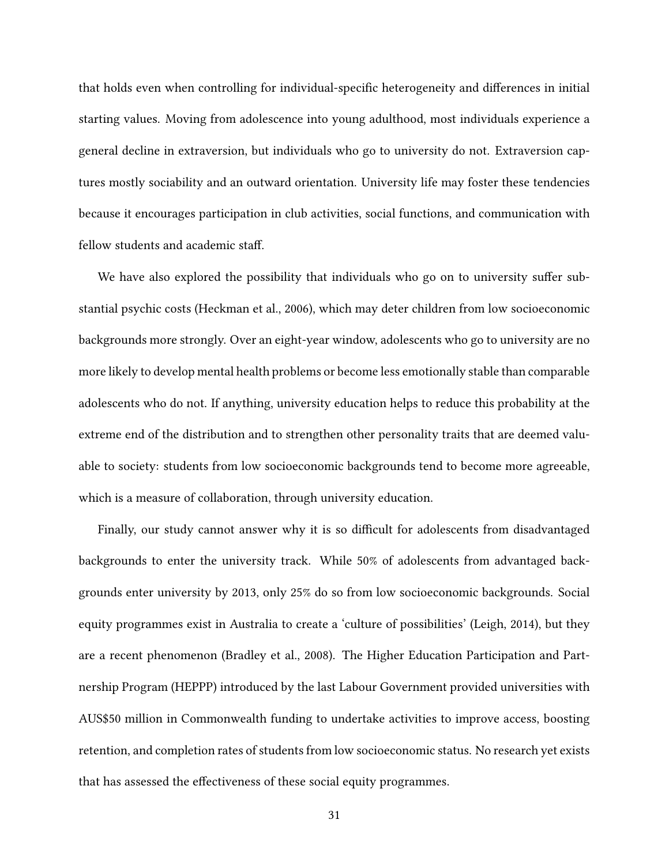that holds even when controlling for individual-specific heterogeneity and differences in initial starting values. Moving from adolescence into young adulthood, most individuals experience a general decline in extraversion, but individuals who go to university do not. Extraversion captures mostly sociability and an outward orientation. University life may foster these tendencies because it encourages participation in club activities, social functions, and communication with fellow students and academic staff.

We have also explored the possibility that individuals who go on to university suffer substantial psychic costs (Heckman et al., 2006), which may deter children from low socioeconomic backgrounds more strongly. Over an eight-year window, adolescents who go to university are no more likely to develop mental health problems or become less emotionally stable than comparable adolescents who do not. If anything, university education helps to reduce this probability at the extreme end of the distribution and to strengthen other personality traits that are deemed valuable to society: students from low socioeconomic backgrounds tend to become more agreeable, which is a measure of collaboration, through university education.

Finally, our study cannot answer why it is so difficult for adolescents from disadvantaged backgrounds to enter the university track. While 50% of adolescents from advantaged backgrounds enter university by 2013, only 25% do so from low socioeconomic backgrounds. Social equity programmes exist in Australia to create a 'culture of possibilities' (Leigh, 2014), but they are a recent phenomenon (Bradley et al., 2008). The Higher Education Participation and Partnership Program (HEPPP) introduced by the last Labour Government provided universities with AUS\$50 million in Commonwealth funding to undertake activities to improve access, boosting retention, and completion rates of students from low socioeconomic status. No research yet exists that has assessed the effectiveness of these social equity programmes.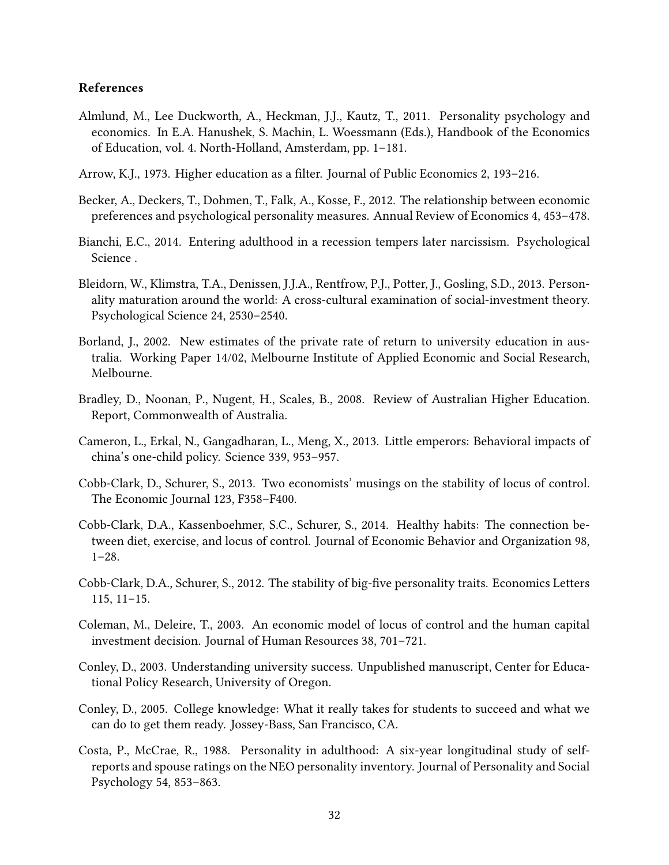#### **References**

- Almlund, M., Lee Duckworth, A., Heckman, J.J., Kautz, T., 2011. Personality psychology and economics. In E.A. Hanushek, S. Machin, L. Woessmann (Eds.), Handbook of the Economics of Education, vol. 4. North-Holland, Amsterdam, pp. 1–181.
- Arrow, K.J., 1973. Higher education as a filter. Journal of Public Economics 2, 193–216.
- Becker, A., Deckers, T., Dohmen, T., Falk, A., Kosse, F., 2012. The relationship between economic preferences and psychological personality measures. Annual Review of Economics 4, 453–478.
- Bianchi, E.C., 2014. Entering adulthood in a recession tempers later narcissism. Psychological Science .
- Bleidorn, W., Klimstra, T.A., Denissen, J.J.A., Rentfrow, P.J., Potter, J., Gosling, S.D., 2013. Personality maturation around the world: A cross-cultural examination of social-investment theory. Psychological Science 24, 2530–2540.
- Borland, J., 2002. New estimates of the private rate of return to university education in australia. Working Paper 14/02, Melbourne Institute of Applied Economic and Social Research, Melbourne.
- Bradley, D., Noonan, P., Nugent, H., Scales, B., 2008. Review of Australian Higher Education. Report, Commonwealth of Australia.
- Cameron, L., Erkal, N., Gangadharan, L., Meng, X., 2013. Little emperors: Behavioral impacts of china's one-child policy. Science 339, 953–957.
- Cobb-Clark, D., Schurer, S., 2013. Two economists' musings on the stability of locus of control. The Economic Journal 123, F358–F400.
- Cobb-Clark, D.A., Kassenboehmer, S.C., Schurer, S., 2014. Healthy habits: The connection between diet, exercise, and locus of control. Journal of Economic Behavior and Organization 98, 1–28.
- Cobb-Clark, D.A., Schurer, S., 2012. The stability of big-five personality traits. Economics Letters 115, 11–15.
- Coleman, M., Deleire, T., 2003. An economic model of locus of control and the human capital investment decision. Journal of Human Resources 38, 701–721.
- Conley, D., 2003. Understanding university success. Unpublished manuscript, Center for Educational Policy Research, University of Oregon.
- Conley, D., 2005. College knowledge: What it really takes for students to succeed and what we can do to get them ready. Jossey-Bass, San Francisco, CA.
- Costa, P., McCrae, R., 1988. Personality in adulthood: A six-year longitudinal study of selfreports and spouse ratings on the NEO personality inventory. Journal of Personality and Social Psychology 54, 853–863.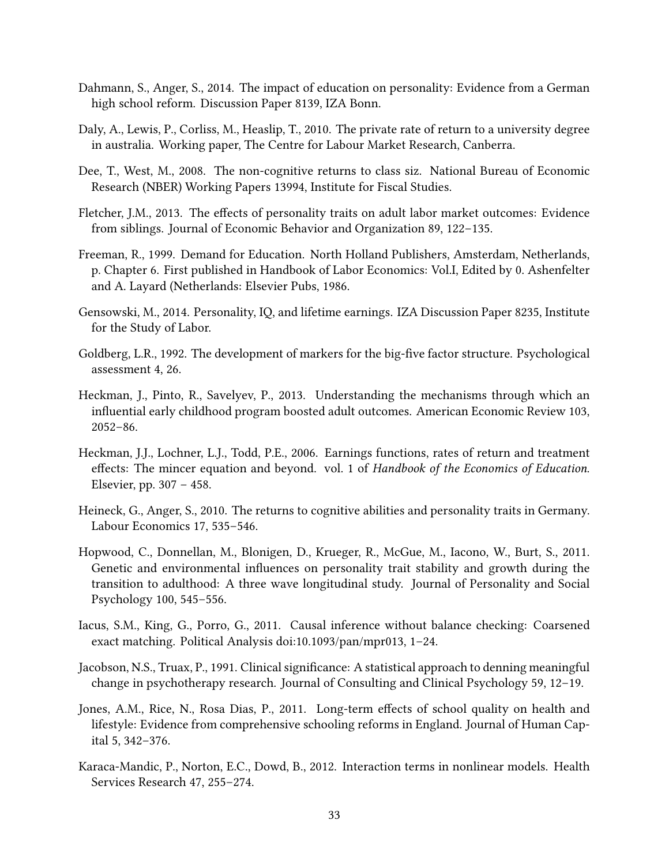- Dahmann, S., Anger, S., 2014. The impact of education on personality: Evidence from a German high school reform. Discussion Paper 8139, IZA Bonn.
- Daly, A., Lewis, P., Corliss, M., Heaslip, T., 2010. The private rate of return to a university degree in australia. Working paper, The Centre for Labour Market Research, Canberra.
- Dee, T., West, M., 2008. The non-cognitive returns to class siz. National Bureau of Economic Research (NBER) Working Papers 13994, Institute for Fiscal Studies.
- Fletcher, J.M., 2013. The effects of personality traits on adult labor market outcomes: Evidence from siblings. Journal of Economic Behavior and Organization 89, 122–135.
- Freeman, R., 1999. Demand for Education. North Holland Publishers, Amsterdam, Netherlands, p. Chapter 6. First published in Handbook of Labor Economics: Vol.I, Edited by 0. Ashenfelter and A. Layard (Netherlands: Elsevier Pubs, 1986.
- Gensowski, M., 2014. Personality, IQ, and lifetime earnings. IZA Discussion Paper 8235, Institute for the Study of Labor.
- Goldberg, L.R., 1992. The development of markers for the big-five factor structure. Psychological assessment 4, 26.
- Heckman, J., Pinto, R., Savelyev, P., 2013. Understanding the mechanisms through which an influential early childhood program boosted adult outcomes. American Economic Review 103, 2052–86.
- Heckman, J.J., Lochner, L.J., Todd, P.E., 2006. Earnings functions, rates of return and treatment effects: The mincer equation and beyond. vol. 1 of *Handbook of the Economics of Education*. Elsevier, pp. 307 – 458.
- Heineck, G., Anger, S., 2010. The returns to cognitive abilities and personality traits in Germany. Labour Economics 17, 535–546.
- Hopwood, C., Donnellan, M., Blonigen, D., Krueger, R., McGue, M., Iacono, W., Burt, S., 2011. Genetic and environmental influences on personality trait stability and growth during the transition to adulthood: A three wave longitudinal study. Journal of Personality and Social Psychology 100, 545–556.
- Iacus, S.M., King, G., Porro, G., 2011. Causal inference without balance checking: Coarsened exact matching. Political Analysis doi:10.1093/pan/mpr013, 1–24.
- Jacobson, N.S., Truax, P., 1991. Clinical significance: A statistical approach to denning meaningful change in psychotherapy research. Journal of Consulting and Clinical Psychology 59, 12–19.
- Jones, A.M., Rice, N., Rosa Dias, P., 2011. Long-term effects of school quality on health and lifestyle: Evidence from comprehensive schooling reforms in England. Journal of Human Capital 5, 342–376.
- Karaca-Mandic, P., Norton, E.C., Dowd, B., 2012. Interaction terms in nonlinear models. Health Services Research 47, 255–274.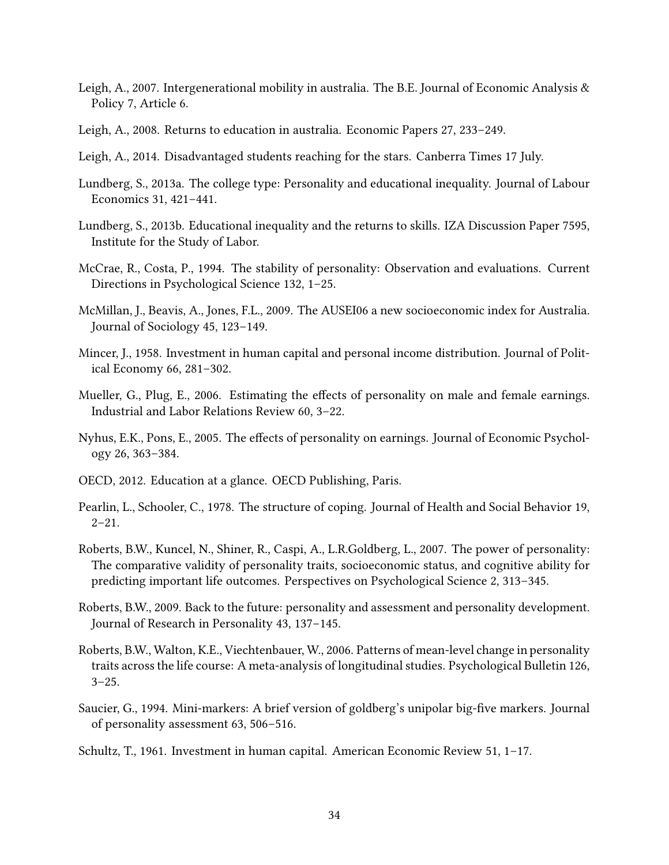- Leigh, A., 2007. Intergenerational mobility in australia. The B.E. Journal of Economic Analysis & Policy 7, Article 6.
- Leigh, A., 2008. Returns to education in australia. Economic Papers 27, 233–249.
- Leigh, A., 2014. Disadvantaged students reaching for the stars. Canberra Times 17 July.
- Lundberg, S., 2013a. The college type: Personality and educational inequality. Journal of Labour Economics 31, 421–441.
- Lundberg, S., 2013b. Educational inequality and the returns to skills. IZA Discussion Paper 7595, Institute for the Study of Labor.
- McCrae, R., Costa, P., 1994. The stability of personality: Observation and evaluations. Current Directions in Psychological Science 132, 1–25.
- McMillan, J., Beavis, A., Jones, F.L., 2009. The AUSEI06 a new socioeconomic index for Australia. Journal of Sociology 45, 123–149.
- Mincer, J., 1958. Investment in human capital and personal income distribution. Journal of Political Economy 66, 281–302.
- Mueller, G., Plug, E., 2006. Estimating the effects of personality on male and female earnings. Industrial and Labor Relations Review 60, 3–22.
- Nyhus, E.K., Pons, E., 2005. The effects of personality on earnings. Journal of Economic Psychology 26, 363–384.
- OECD, 2012. Education at a glance. OECD Publishing, Paris.
- Pearlin, L., Schooler, C., 1978. The structure of coping. Journal of Health and Social Behavior 19,  $2 - 21$ .
- Roberts, B.W., Kuncel, N., Shiner, R., Caspi, A., L.R.Goldberg, L., 2007. The power of personality: The comparative validity of personality traits, socioeconomic status, and cognitive ability for predicting important life outcomes. Perspectives on Psychological Science 2, 313–345.
- Roberts, B.W., 2009. Back to the future: personality and assessment and personality development. Journal of Research in Personality 43, 137–145.
- Roberts, B.W., Walton, K.E., Viechtenbauer, W., 2006. Patterns of mean-level change in personality traits across the life course: A meta-analysis of longitudinal studies. Psychological Bulletin 126,  $3 - 25.$
- Saucier, G., 1994. Mini-markers: A brief version of goldberg's unipolar big-five markers. Journal of personality assessment 63, 506–516.
- Schultz, T., 1961. Investment in human capital. American Economic Review 51, 1–17.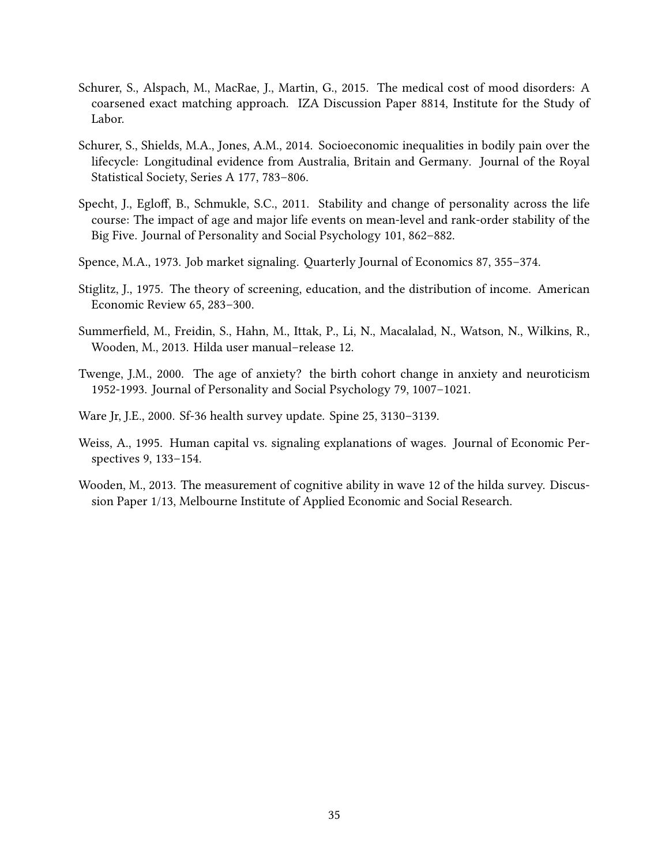- Schurer, S., Alspach, M., MacRae, J., Martin, G., 2015. The medical cost of mood disorders: A coarsened exact matching approach. IZA Discussion Paper 8814, Institute for the Study of Labor.
- Schurer, S., Shields, M.A., Jones, A.M., 2014. Socioeconomic inequalities in bodily pain over the lifecycle: Longitudinal evidence from Australia, Britain and Germany. Journal of the Royal Statistical Society, Series A 177, 783–806.
- Specht, J., Egloff, B., Schmukle, S.C., 2011. Stability and change of personality across the life course: The impact of age and major life events on mean-level and rank-order stability of the Big Five. Journal of Personality and Social Psychology 101, 862–882.
- Spence, M.A., 1973. Job market signaling. Quarterly Journal of Economics 87, 355–374.
- Stiglitz, J., 1975. The theory of screening, education, and the distribution of income. American Economic Review 65, 283–300.
- Summerfield, M., Freidin, S., Hahn, M., Ittak, P., Li, N., Macalalad, N., Watson, N., Wilkins, R., Wooden, M., 2013. Hilda user manual–release 12.
- Twenge, J.M., 2000. The age of anxiety? the birth cohort change in anxiety and neuroticism 1952-1993. Journal of Personality and Social Psychology 79, 1007–1021.
- Ware Jr, J.E., 2000. Sf-36 health survey update. Spine 25, 3130–3139.
- Weiss, A., 1995. Human capital vs. signaling explanations of wages. Journal of Economic Perspectives 9, 133–154.
- Wooden, M., 2013. The measurement of cognitive ability in wave 12 of the hilda survey. Discussion Paper 1/13, Melbourne Institute of Applied Economic and Social Research.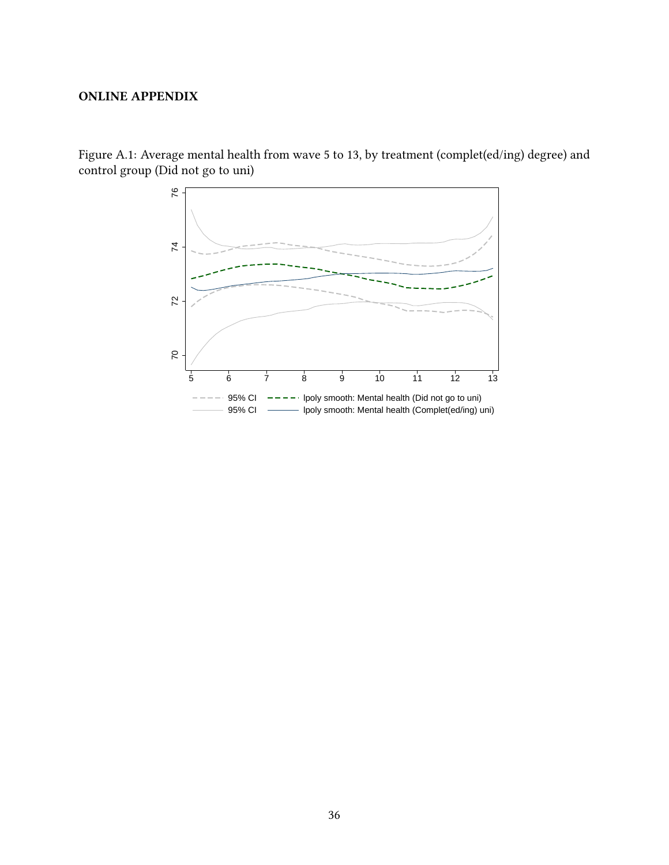#### **ONLINE APPENDIX**



Figure A.1: Average mental health from wave 5 to 13, by treatment (complet(ed/ing) degree) and control group (Did not go to uni)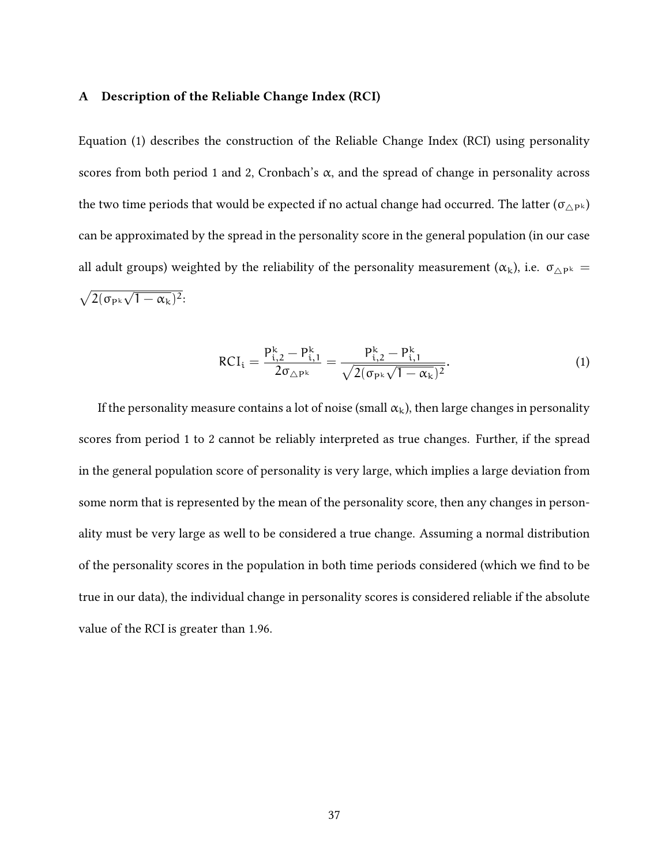#### **A Description of the Reliable Change Index (RCI)**

Equation (1) describes the construction of the Reliable Change Index (RCI) using personality scores from both period 1 and 2, Cronbach's  $\alpha$ , and the spread of change in personality across the two time periods that would be expected if no actual change had occurred. The latter  $(\sigma_{\triangle P^k})$ can be approximated by the spread in the personality score in the general population (in our case all adult groups) weighted by the reliability of the personality measurement ( $\alpha_k$ ), i.e.  $\sigma_{\Delta P^k}$  =  $\sqrt{2(\sigma_{P^k}\sqrt{1-\alpha_k})^2}$ 

$$
RCI_{i} = \frac{P_{i,2}^{k} - P_{i,1}^{k}}{2\sigma_{\triangle P^{k}}} = \frac{P_{i,2}^{k} - P_{i,1}^{k}}{\sqrt{2(\sigma_{P^{k}}\sqrt{1 - \alpha_{k}})^{2}}}.
$$
\n(1)

If the personality measure contains a lot of noise (small  $\alpha_k$ ), then large changes in personality scores from period 1 to 2 cannot be reliably interpreted as true changes. Further, if the spread in the general population score of personality is very large, which implies a large deviation from some norm that is represented by the mean of the personality score, then any changes in personality must be very large as well to be considered a true change. Assuming a normal distribution of the personality scores in the population in both time periods considered (which we find to be true in our data), the individual change in personality scores is considered reliable if the absolute value of the RCI is greater than 1.96.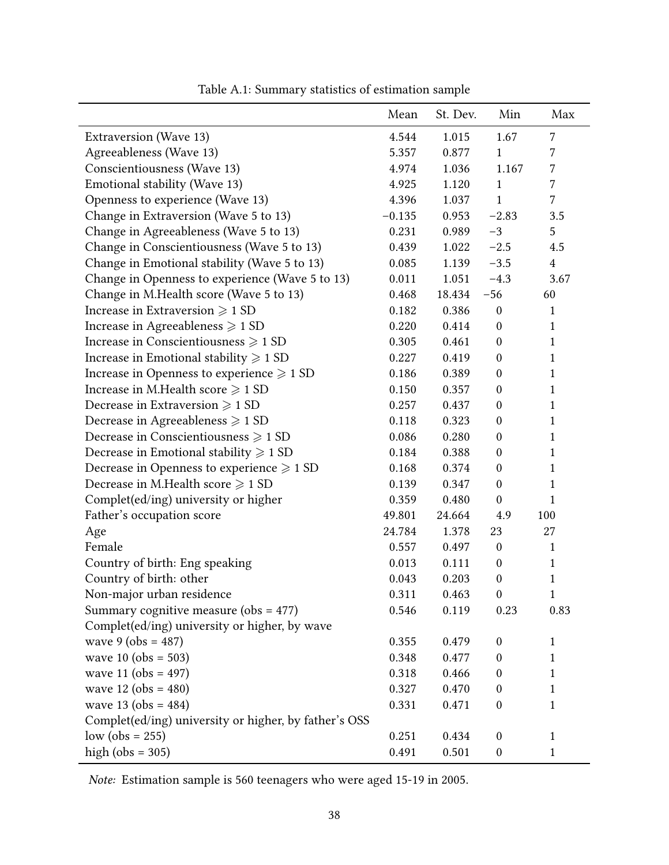|                                                       | Mean     | St. Dev. | Min              | Max            |
|-------------------------------------------------------|----------|----------|------------------|----------------|
| Extraversion (Wave 13)                                | 4.544    | 1.015    | 1.67             | $\overline{7}$ |
| Agreeableness (Wave 13)                               | 5.357    | 0.877    | $\mathbf{1}$     | $\overline{7}$ |
| Conscientiousness (Wave 13)                           | 4.974    | 1.036    | 1.167            | $\overline{7}$ |
| Emotional stability (Wave 13)                         | 4.925    | 1.120    | $\mathbf{1}$     | $\overline{7}$ |
| Openness to experience (Wave 13)                      | 4.396    | 1.037    | 1                | $\overline{7}$ |
| Change in Extraversion (Wave 5 to 13)                 | $-0.135$ | 0.953    | $-2.83$          | 3.5            |
| Change in Agreeableness (Wave 5 to 13)                | 0.231    | 0.989    | $-3$             | 5              |
| Change in Conscientiousness (Wave 5 to 13)            | 0.439    | 1.022    | $-2.5$           | 4.5            |
| Change in Emotional stability (Wave 5 to 13)          | 0.085    | 1.139    | $-3.5$           | $\overline{4}$ |
| Change in Openness to experience (Wave 5 to 13)       | 0.011    | 1.051    | $-4.3$           | 3.67           |
| Change in M.Health score (Wave 5 to 13)               | 0.468    | 18.434   | $-56$            | 60             |
| Increase in Extraversion $\geqslant$ 1 SD             | 0.182    | 0.386    | $\boldsymbol{0}$ | $\mathbf{1}$   |
| Increase in Agreeableness $\geqslant$ 1 SD            | 0.220    | 0.414    | $\boldsymbol{0}$ | $\mathbf{1}$   |
| Increase in Conscientiousness $\geqslant$ 1 SD        | 0.305    | 0.461    | $\mathbf{0}$     | $\mathbf{1}$   |
| Increase in Emotional stability $\geqslant$ 1 SD      | 0.227    | 0.419    | $\boldsymbol{0}$ | 1              |
| Increase in Openness to experience $\geqslant$ 1 SD   | 0.186    | 0.389    | $\boldsymbol{0}$ | $\mathbf{1}$   |
| Increase in M.Health score $\geqslant$ 1 SD           | 0.150    | 0.357    | $\boldsymbol{0}$ | $\mathbf{1}$   |
| Decrease in Extraversion $\geqslant$ 1 SD             | 0.257    | 0.437    | $\boldsymbol{0}$ | $\mathbf{1}$   |
| Decrease in Agreeableness $\geqslant$ 1 SD            | 0.118    | 0.323    | $\mathbf{0}$     | 1              |
| Decrease in Conscientiousness $\geqslant$ 1 SD        | 0.086    | 0.280    | $\boldsymbol{0}$ | $\mathbf{1}$   |
| Decrease in Emotional stability $\geqslant$ 1 SD      | 0.184    | 0.388    | $\boldsymbol{0}$ | $\mathbf{1}$   |
| Decrease in Openness to experience $\geqslant$ 1 SD   | 0.168    | 0.374    | $\boldsymbol{0}$ | 1              |
| Decrease in M.Health score $\geqslant$ 1 SD           | 0.139    | 0.347    | $\boldsymbol{0}$ | $\mathbf{1}$   |
| Complet(ed/ing) university or higher                  | 0.359    | 0.480    | $\boldsymbol{0}$ | 1              |
| Father's occupation score                             | 49.801   | 24.664   | 4.9              | 100            |
| Age                                                   | 24.784   | 1.378    | 23               | 27             |
| Female                                                | 0.557    | 0.497    | $\mathbf{0}$     | $\mathbf{1}$   |
| Country of birth: Eng speaking                        | 0.013    | 0.111    | $\boldsymbol{0}$ | $\mathbf{1}$   |
| Country of birth: other                               | 0.043    | 0.203    | $\boldsymbol{0}$ | $\mathbf{1}$   |
| Non-major urban residence                             | 0.311    | 0.463    | $\boldsymbol{0}$ | $\mathbf{1}$   |
| Summary cognitive measure (obs = $477$ )              | 0.546    | 0.119    | 0.23             | 0.83           |
| Complet(ed/ing) university or higher, by wave         |          |          |                  |                |
| wave $9 (obs = 487)$                                  | 0.355    | 0.479    | $\boldsymbol{0}$ | $\mathbf{1}$   |
| wave 10 (obs = 503)                                   | 0.348    | 0.477    | $\boldsymbol{0}$ | $\mathbf{1}$   |
| wave $11 (obs = 497)$                                 | 0.318    | 0.466    | $\boldsymbol{0}$ | $\mathbf{1}$   |
| wave $12 \text{ (obs = } 480)$                        | 0.327    | 0.470    | $\boldsymbol{0}$ | $\mathbf{1}$   |
| wave $13 (obs = 484)$                                 | 0.331    | 0.471    | $\boldsymbol{0}$ | $\mathbf{1}$   |
| Complet(ed/ing) university or higher, by father's OSS |          |          |                  |                |
| $low (obs = 255)$                                     | 0.251    | 0.434    | $\boldsymbol{0}$ | $\mathbf{1}$   |
| high ( $obs = 305$ )                                  | 0.491    | 0.501    | $\boldsymbol{0}$ | $\mathbf{1}$   |

Table A.1: Summary statistics of estimation sample

*Note:* Estimation sample is 560 teenagers who were aged 15-19 in 2005.